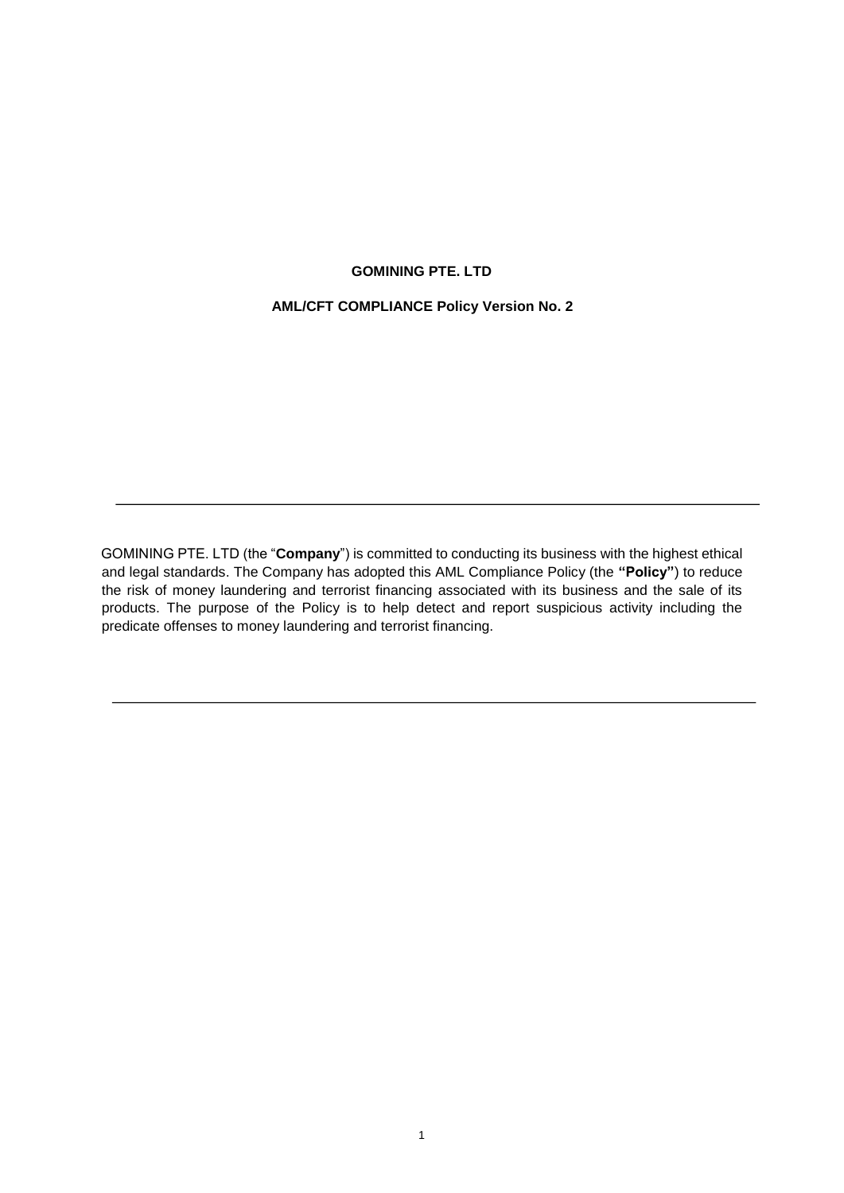# **GOMINING PTE. LTD**

# **AML/CFT COMPLIANCE Policy Version No. 2**

GOMINING PTE. LTD (the "**Company**") is committed to conducting its business with the highest ethical and legal standards. The Company has adopted this AML Compliance Policy (the **"Policy"**) to reduce the risk of money laundering and terrorist financing associated with its business and the sale of its products. The purpose of the Policy is to help detect and report suspicious activity including the predicate offenses to money laundering and terrorist financing.

j.

l,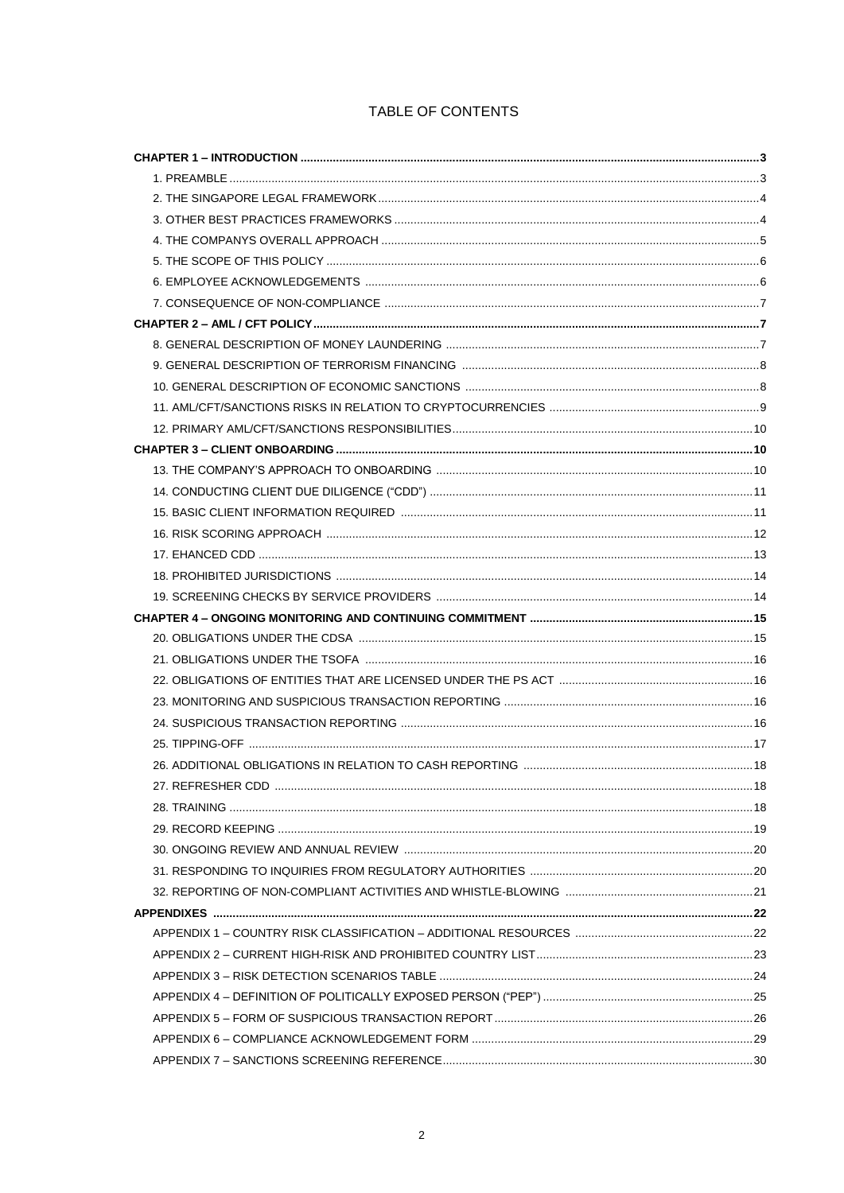# TABLE OF CONTENTS

| 27. REFRESHER CDD. |  |
|--------------------|--|
|                    |  |
|                    |  |
|                    |  |
|                    |  |
|                    |  |
|                    |  |
|                    |  |
|                    |  |
|                    |  |
|                    |  |
|                    |  |
|                    |  |
|                    |  |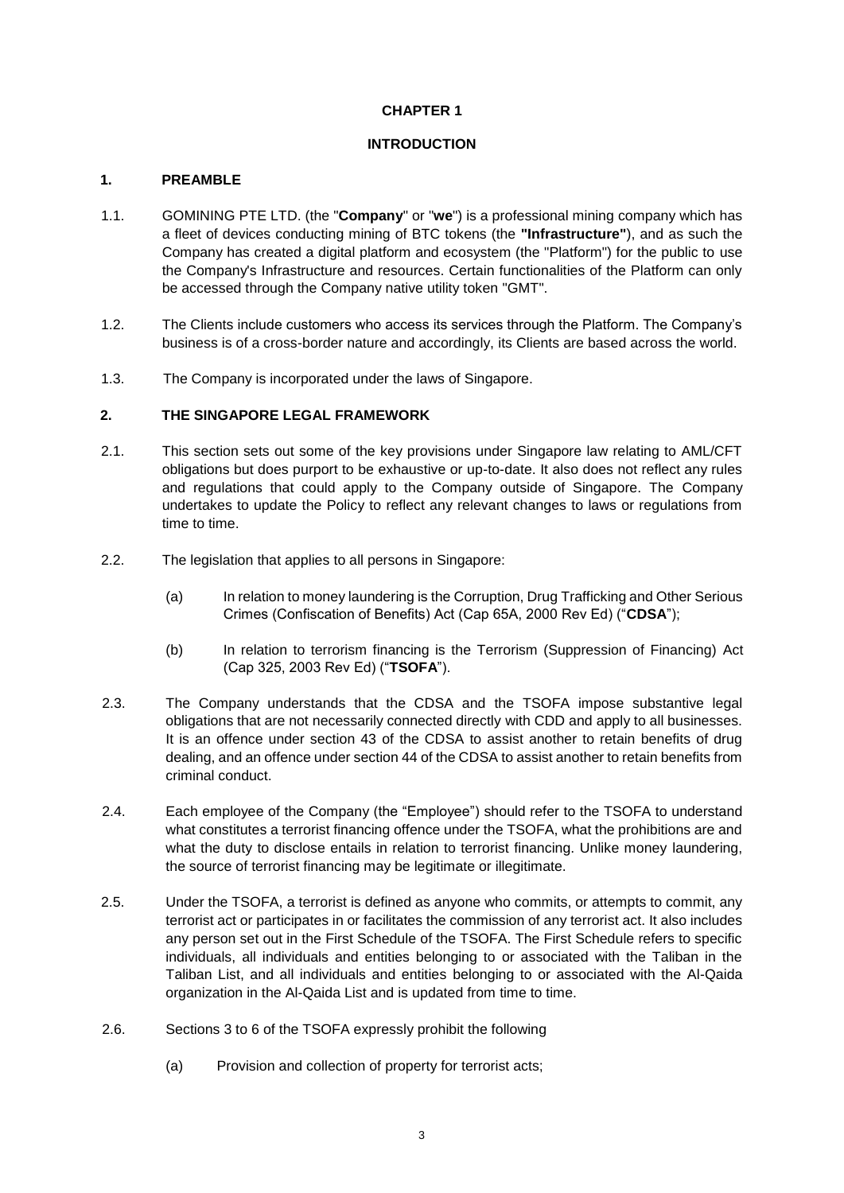# **CHAPTER 1**

# **INTRODUCTION**

## **1. PREAMBLE**

- 1.1. GOMINING PTE LTD. (the "**Company**" or "**we**") is a professional mining company which has a fleet of devices conducting mining of BTC tokens (the **"Infrastructure"**), and as such the Company has created a digital platform and ecosystem (the "Platform") for the public to use the Company's Infrastructure and resources. Certain functionalities of the Platform can only be accessed through the Company native utility token "GMT".
- 1.2. The Clients include customers who access its services through the Platform. The Company's business is of a cross-border nature and accordingly, its Clients are based across the world.
- 1.3. The Company is incorporated under the laws of Singapore.

#### **2. THE SINGAPORE LEGAL FRAMEWORK**

- 2.1. This section sets out some of the key provisions under Singapore law relating to AML/CFT obligations but does purport to be exhaustive or up-to-date. It also does not reflect any rules and regulations that could apply to the Company outside of Singapore. The Company undertakes to update the Policy to reflect any relevant changes to laws or regulations from time to time.
- 2.2. The legislation that applies to all persons in Singapore:
	- (a) In relation to money laundering is the Corruption, Drug Trafficking and Other Serious Crimes (Confiscation of Benefits) Act (Cap 65A, 2000 Rev Ed) ("**CDSA**");
	- (b) In relation to terrorism financing is the Terrorism (Suppression of Financing) Act (Cap 325, 2003 Rev Ed) ("**TSOFA**").
- 2.3. The Company understands that the CDSA and the TSOFA impose substantive legal obligations that are not necessarily connected directly with CDD and apply to all businesses. It is an offence under section 43 of the CDSA to assist another to retain benefits of drug dealing, and an offence under section 44 of the CDSA to assist another to retain benefits from criminal conduct.
- 2.4. Each employee of the Company (the "Employee") should refer to the TSOFA to understand what constitutes a terrorist financing offence under the TSOFA, what the prohibitions are and what the duty to disclose entails in relation to terrorist financing. Unlike money laundering, the source of terrorist financing may be legitimate or illegitimate.
- 2.5. Under the TSOFA, a terrorist is defined as anyone who commits, or attempts to commit, any terrorist act or participates in or facilitates the commission of any terrorist act. It also includes any person set out in the First Schedule of the TSOFA. The First Schedule refers to specific individuals, all individuals and entities belonging to or associated with the Taliban in the Taliban List, and all individuals and entities belonging to or associated with the Al-Qaida organization in the Al-Qaida List and is updated from time to time.
- 2.6. Sections 3 to 6 of the TSOFA expressly prohibit the following
	- (a) Provision and collection of property for terrorist acts;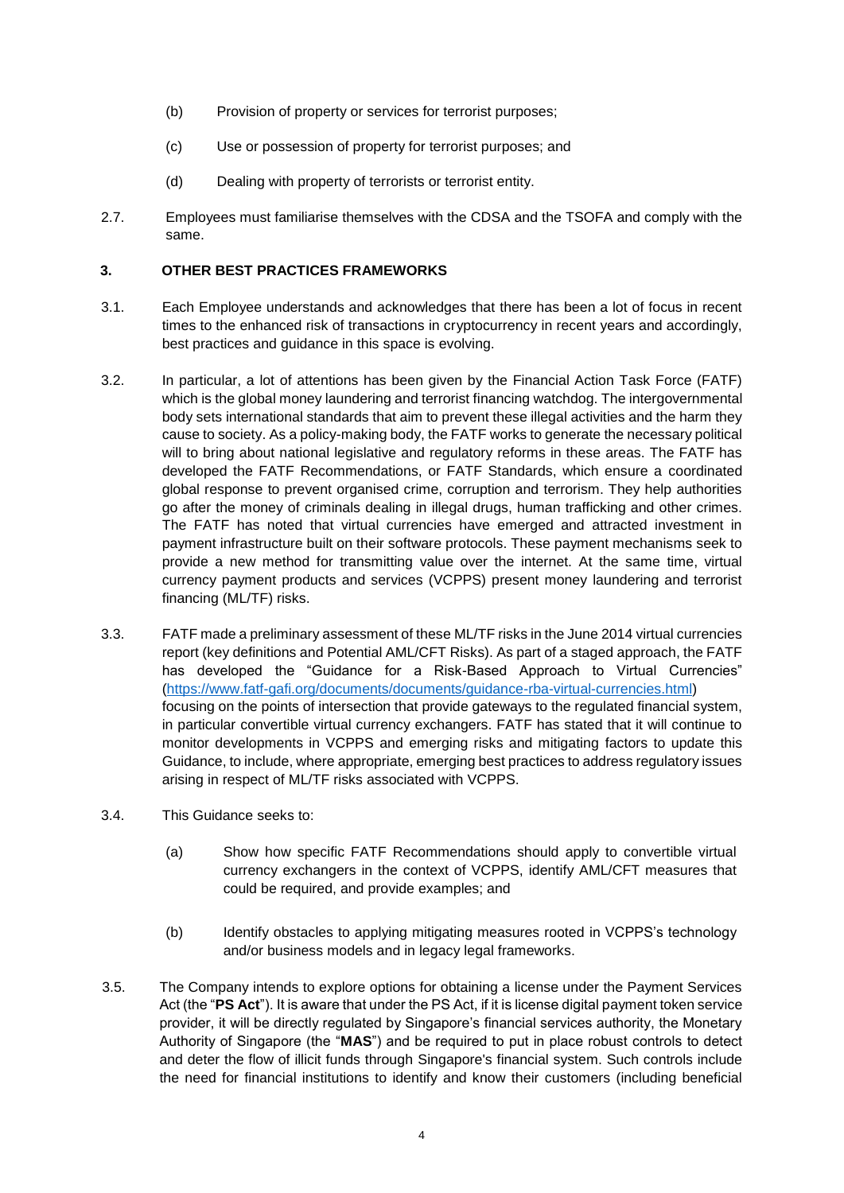- (b) Provision of property or services for terrorist purposes;
- (c) Use or possession of property for terrorist purposes; and
- (d) Dealing with property of terrorists or terrorist entity.
- 2.7. Employees must familiarise themselves with the CDSA and the TSOFA and comply with the same.

# **3. OTHER BEST PRACTICES FRAMEWORKS**

- 3.1. Each Employee understands and acknowledges that there has been a lot of focus in recent times to the enhanced risk of transactions in cryptocurrency in recent years and accordingly, best practices and guidance in this space is evolving.
- 3.2. In particular, a lot of attentions has been given by the Financial Action Task Force (FATF) which is the global money laundering and terrorist financing watchdog. The intergovernmental body sets international standards that aim to prevent these illegal activities and the harm they cause to society. As a policy-making body, the FATF works to generate the necessary political will to bring about national legislative and regulatory reforms in these areas. The FATF has developed the FATF Recommendations, or FATF Standards, which ensure a coordinated global response to prevent organised crime, corruption and terrorism. They help authorities go after the money of criminals dealing in illegal drugs, human trafficking and other crimes. The FATF has noted that virtual currencies have emerged and attracted investment in payment infrastructure built on their software protocols. These payment mechanisms seek to provide a new method for transmitting value over the internet. At the same time, virtual currency payment products and services (VCPPS) present money laundering and terrorist financing (ML/TF) risks.
- 3.3. FATF made a preliminary assessment of these ML/TF risks in the June 2014 virtual currencies report (key definitions and Potential AML/CFT Risks). As part of a staged approach, the FATF has developed the "Guidance for a Risk-Based Approach to Virtual Currencies" [\(https://www.fatf-gafi.org/documents/documents/guidance-rba-virtual-currencies.html\)](https://www.fatf-gafi.org/documents/documents/guidance-rba-virtual-currencies.html) focusing on the points of intersection that provide gateways to the regulated financial system, in particular convertible virtual currency exchangers. FATF has stated that it will continue to monitor developments in VCPPS and emerging risks and mitigating factors to update this Guidance, to include, where appropriate, emerging best practices to address regulatory issues arising in respect of ML/TF risks associated with VCPPS.
- 3.4. This Guidance seeks to:
	- (a) Show how specific FATF Recommendations should apply to convertible virtual currency exchangers in the context of VCPPS, identify AML/CFT measures that could be required, and provide examples; and
	- (b) Identify obstacles to applying mitigating measures rooted in VCPPS's technology and/or business models and in legacy legal frameworks.
- 3.5. The Company intends to explore options for obtaining a license under the Payment Services Act (the "**PS Act**"). It is aware that under the PS Act, if it is license digital payment token service provider, it will be directly regulated by Singapore's financial services authority, the Monetary Authority of Singapore (the "**MAS**") and be required to put in place robust controls to detect and deter the flow of illicit funds through Singapore's financial system. Such controls include the need for financial institutions to identify and know their customers (including beneficial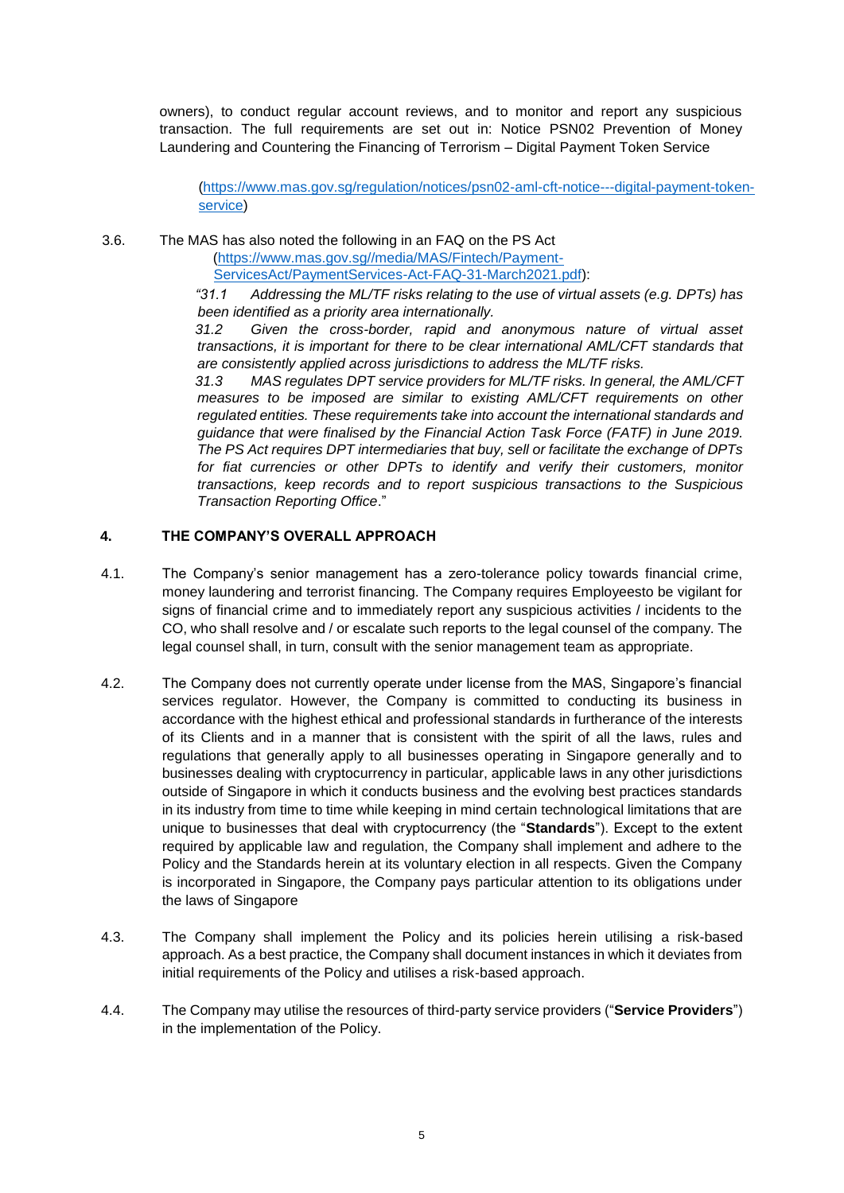owners), to conduct regular account reviews, and to monitor and report any suspicious transaction. The full requirements are set out in: Notice PSN02 Prevention of Money Laundering and Countering the Financing of Terrorism – Digital Payment Token Service

[\(https://www.mas.gov.sg/regulation/notices/psn02-aml-cft-notice---digital-payment-token](https://www.mas.gov.sg/regulation/notices/psn02-aml-cft-notice---digital-payment-token-service)[service\)](https://www.mas.gov.sg/regulation/notices/psn02-aml-cft-notice---digital-payment-token-service)

3.6. The MAS has also noted the following in an FAQ on the PS Act

(https://www.mas.gov.sg//media/MAS/Fintech/Payment-ServicesAct/PaymentServices-Act-FAQ-31-March2021.pdf):

*"31.1 Addressing the ML/TF risks relating to the use of virtual assets (e.g. DPTs) has been identified as a priority area internationally.* 

*31.2 Given the cross-border, rapid and anonymous nature of virtual asset transactions, it is important for there to be clear international AML/CFT standards that are consistently applied across jurisdictions to address the ML/TF risks.* 

*31.3 MAS regulates DPT service providers for ML/TF risks. In general, the AML/CFT measures to be imposed are similar to existing AML/CFT requirements on other regulated entities. These requirements take into account the international standards and guidance that were finalised by the Financial Action Task Force (FATF) in June 2019. The PS Act requires DPT intermediaries that buy, sell or facilitate the exchange of DPTs for fiat currencies or other DPTs to identify and verify their customers, monitor transactions, keep records and to report suspicious transactions to the Suspicious Transaction Reporting Office*."

# **4. THE COMPANY'S OVERALL APPROACH**

- 4.1. The Company's senior management has a zero-tolerance policy towards financial crime, money laundering and terrorist financing. The Company requires Employeesto be vigilant for signs of financial crime and to immediately report any suspicious activities / incidents to the CO, who shall resolve and / or escalate such reports to the legal counsel of the company. The legal counsel shall, in turn, consult with the senior management team as appropriate.
- 4.2. The Company does not currently operate under license from the MAS, Singapore's financial services regulator. However, the Company is committed to conducting its business in accordance with the highest ethical and professional standards in furtherance of the interests of its Clients and in a manner that is consistent with the spirit of all the laws, rules and regulations that generally apply to all businesses operating in Singapore generally and to businesses dealing with cryptocurrency in particular, applicable laws in any other jurisdictions outside of Singapore in which it conducts business and the evolving best practices standards in its industry from time to time while keeping in mind certain technological limitations that are unique to businesses that deal with cryptocurrency (the "**Standards**"). Except to the extent required by applicable law and regulation, the Company shall implement and adhere to the Policy and the Standards herein at its voluntary election in all respects. Given the Company is incorporated in Singapore, the Company pays particular attention to its obligations under the laws of Singapore
- 4.3. The Company shall implement the Policy and its policies herein utilising a risk-based approach. As a best practice, the Company shall document instances in which it deviates from initial requirements of the Policy and utilises a risk-based approach.
- 4.4. The Company may utilise the resources of third-party service providers ("**Service Providers**") in the implementation of the Policy.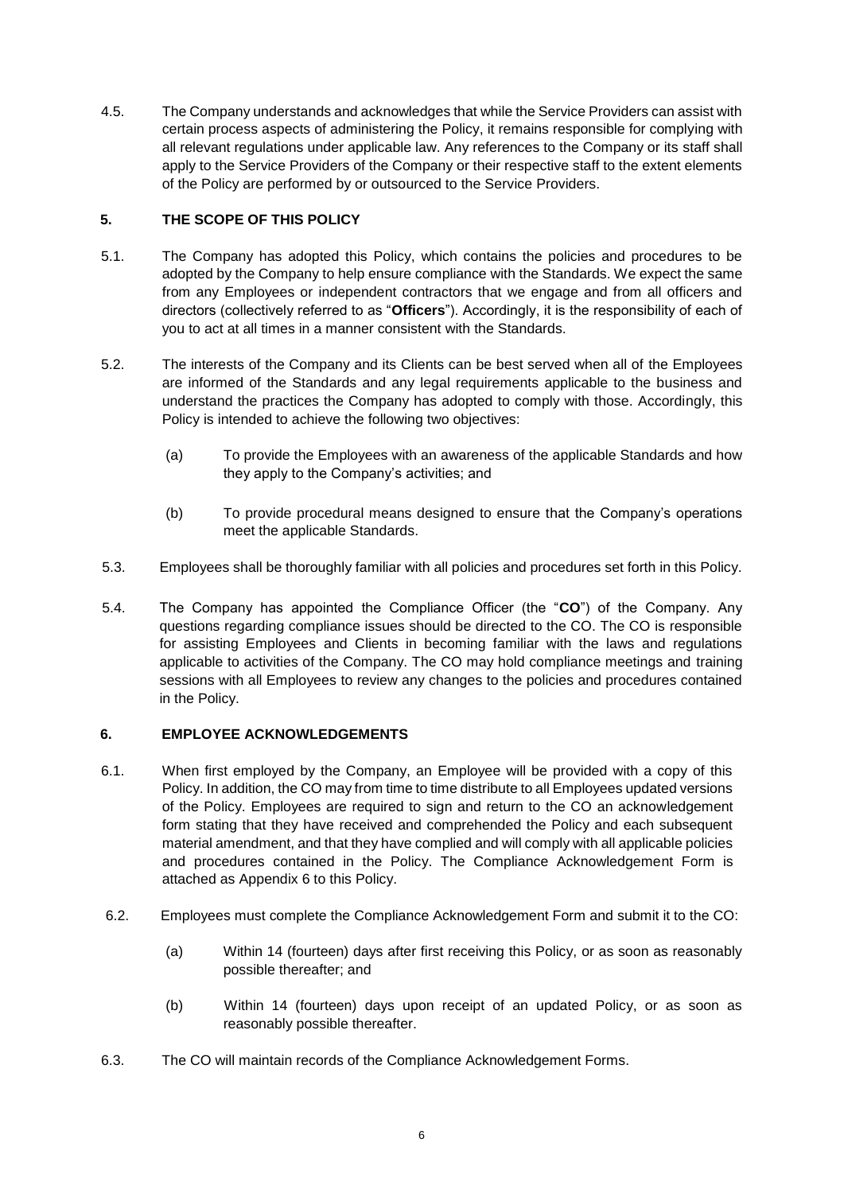4.5. The Company understands and acknowledges that while the Service Providers can assist with certain process aspects of administering the Policy, it remains responsible for complying with all relevant regulations under applicable law. Any references to the Company or its staff shall apply to the Service Providers of the Company or their respective staff to the extent elements of the Policy are performed by or outsourced to the Service Providers.

# **5. THE SCOPE OF THIS POLICY**

- 5.1. The Company has adopted this Policy, which contains the policies and procedures to be adopted by the Company to help ensure compliance with the Standards. We expect the same from any Employees or independent contractors that we engage and from all officers and directors (collectively referred to as "**Officers**"). Accordingly, it is the responsibility of each of you to act at all times in a manner consistent with the Standards.
- 5.2. The interests of the Company and its Clients can be best served when all of the Employees are informed of the Standards and any legal requirements applicable to the business and understand the practices the Company has adopted to comply with those. Accordingly, this Policy is intended to achieve the following two objectives:
	- (a) To provide the Employees with an awareness of the applicable Standards and how they apply to the Company's activities; and
	- (b) To provide procedural means designed to ensure that the Company's operations meet the applicable Standards.
- 5.3. Employees shall be thoroughly familiar with all policies and procedures set forth in this Policy.
- 5.4. The Company has appointed the Compliance Officer (the "**CO**") of the Company. Any questions regarding compliance issues should be directed to the CO. The CO is responsible for assisting Employees and Clients in becoming familiar with the laws and regulations applicable to activities of the Company. The CO may hold compliance meetings and training sessions with all Employees to review any changes to the policies and procedures contained in the Policy.

#### **6. EMPLOYEE ACKNOWLEDGEMENTS**

- 6.1. When first employed by the Company, an Employee will be provided with a copy of this Policy. In addition, the CO may from time to time distribute to all Employees updated versions of the Policy. Employees are required to sign and return to the CO an acknowledgement form stating that they have received and comprehended the Policy and each subsequent material amendment, and that they have complied and will comply with all applicable policies and procedures contained in the Policy. The Compliance Acknowledgement Form is attached as Appendix 6 to this Policy.
- 6.2. Employees must complete the Compliance Acknowledgement Form and submit it to the CO:
	- (a) Within 14 (fourteen) days after first receiving this Policy, or as soon as reasonably possible thereafter; and
	- (b) Within 14 (fourteen) days upon receipt of an updated Policy, or as soon as reasonably possible thereafter.
- 6.3. The CO will maintain records of the Compliance Acknowledgement Forms.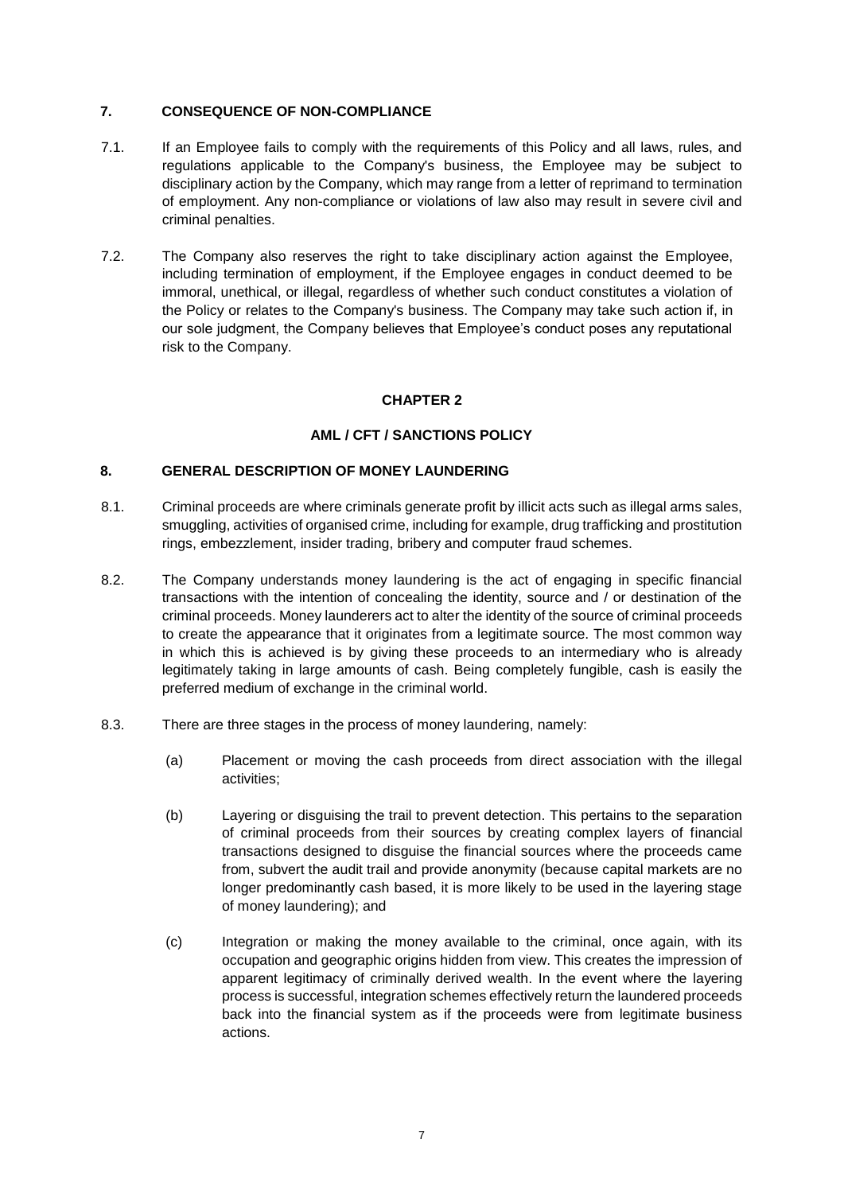#### **7. CONSEQUENCE OF NON-COMPLIANCE**

- 7.1. If an Employee fails to comply with the requirements of this Policy and all laws, rules, and regulations applicable to the Company's business, the Employee may be subject to disciplinary action by the Company, which may range from a letter of reprimand to termination of employment. Any non-compliance or violations of law also may result in severe civil and criminal penalties.
- 7.2. The Company also reserves the right to take disciplinary action against the Employee, including termination of employment, if the Employee engages in conduct deemed to be immoral, unethical, or illegal, regardless of whether such conduct constitutes a violation of the Policy or relates to the Company's business. The Company may take such action if, in our sole judgment, the Company believes that Employee's conduct poses any reputational risk to the Company.

# **CHAPTER 2**

# **AML / CFT / SANCTIONS POLICY**

#### **8. GENERAL DESCRIPTION OF MONEY LAUNDERING**

- 8.1. Criminal proceeds are where criminals generate profit by illicit acts such as illegal arms sales, smuggling, activities of organised crime, including for example, drug trafficking and prostitution rings, embezzlement, insider trading, bribery and computer fraud schemes.
- 8.2. The Company understands money laundering is the act of engaging in specific financial transactions with the intention of concealing the identity, source and / or destination of the criminal proceeds. Money launderers act to alter the identity of the source of criminal proceeds to create the appearance that it originates from a legitimate source. The most common way in which this is achieved is by giving these proceeds to an intermediary who is already legitimately taking in large amounts of cash. Being completely fungible, cash is easily the preferred medium of exchange in the criminal world.
- 8.3. There are three stages in the process of money laundering, namely:
	- (a) Placement or moving the cash proceeds from direct association with the illegal activities;
	- (b) Layering or disguising the trail to prevent detection. This pertains to the separation of criminal proceeds from their sources by creating complex layers of financial transactions designed to disguise the financial sources where the proceeds came from, subvert the audit trail and provide anonymity (because capital markets are no longer predominantly cash based, it is more likely to be used in the layering stage of money laundering); and
	- (c) Integration or making the money available to the criminal, once again, with its occupation and geographic origins hidden from view. This creates the impression of apparent legitimacy of criminally derived wealth. In the event where the layering process is successful, integration schemes effectively return the laundered proceeds back into the financial system as if the proceeds were from legitimate business actions.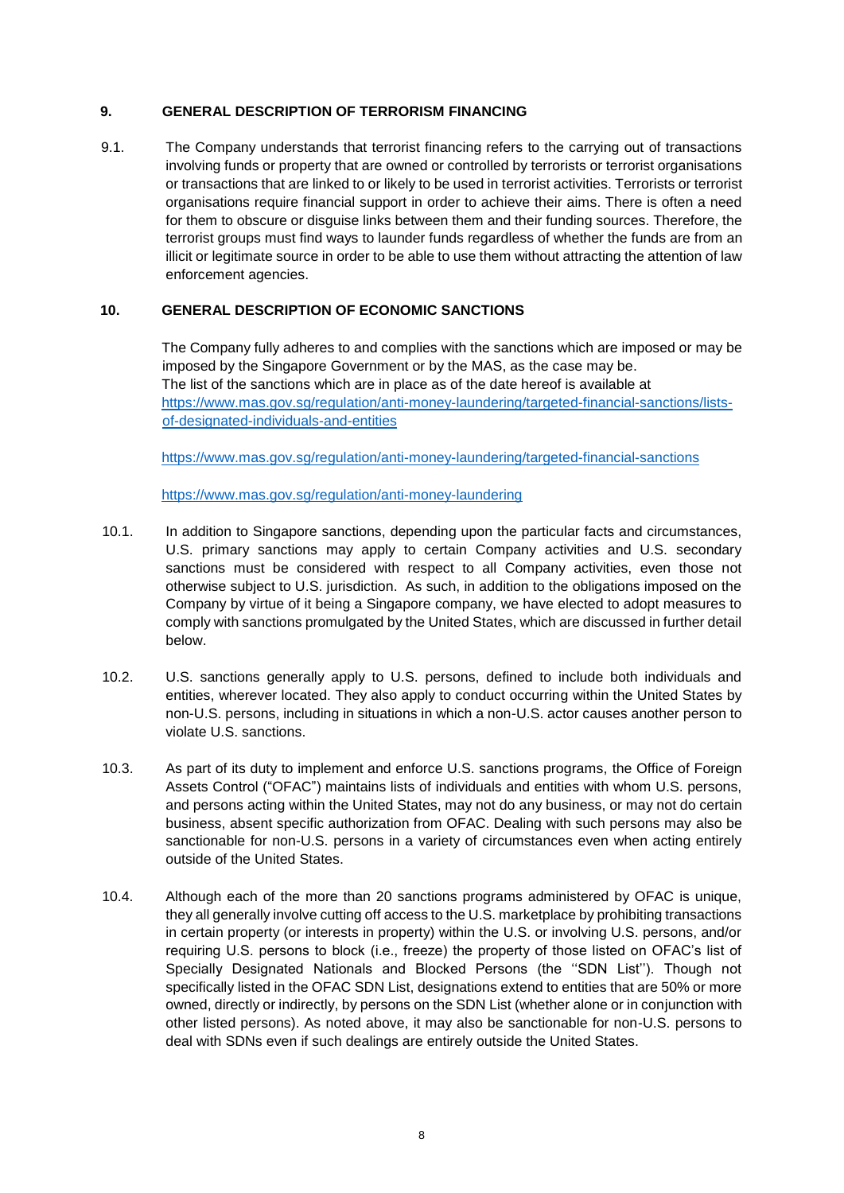## **9. GENERAL DESCRIPTION OF TERRORISM FINANCING**

9.1. The Company understands that terrorist financing refers to the carrying out of transactions involving funds or property that are owned or controlled by terrorists or terrorist organisations or transactions that are linked to or likely to be used in terrorist activities. Terrorists or terrorist organisations require financial support in order to achieve their aims. There is often a need for them to obscure or disguise links between them and their funding sources. Therefore, the terrorist groups must find ways to launder funds regardless of whether the funds are from an illicit or legitimate source in order to be able to use them without attracting the attention of law enforcement agencies.

#### **10. GENERAL DESCRIPTION OF ECONOMIC SANCTIONS**

The Company fully adheres to and complies with the sanctions which are imposed or may be imposed by the Singapore Government or by the MAS, as the case may be. The list of the sanctions which are in place as of the date hereof is available at [https://www.mas.gov.sg/regulation/anti-money-laundering/targeted-financial-sanctions/lists](https://www.mas.gov.sg/regulation/anti-money-laundering/targeted-financial-sanctions/lists-of-designated-individuals-and-entities)[of-designated-individuals-and-entities](https://www.mas.gov.sg/regulation/anti-money-laundering/targeted-financial-sanctions/lists-of-designated-individuals-and-entities)

<https://www.mas.gov.sg/regulation/anti-money-laundering/targeted-financial-sanctions>

<https://www.mas.gov.sg/regulation/anti-money-laundering>

- 10.1. In addition to Singapore sanctions, depending upon the particular facts and circumstances, U.S. primary sanctions may apply to certain Company activities and U.S. secondary sanctions must be considered with respect to all Company activities, even those not otherwise subject to U.S. jurisdiction. As such, in addition to the obligations imposed on the Company by virtue of it being a Singapore company, we have elected to adopt measures to comply with sanctions promulgated by the United States, which are discussed in further detail below.
- 10.2. U.S. sanctions generally apply to U.S. persons, defined to include both individuals and entities, wherever located. They also apply to conduct occurring within the United States by non-U.S. persons, including in situations in which a non-U.S. actor causes another person to violate U.S. sanctions.
- 10.3. As part of its duty to implement and enforce U.S. sanctions programs, the Office of Foreign Assets Control ("OFAC") maintains lists of individuals and entities with whom U.S. persons, and persons acting within the United States, may not do any business, or may not do certain business, absent specific authorization from OFAC. Dealing with such persons may also be sanctionable for non-U.S. persons in a variety of circumstances even when acting entirely outside of the United States.
- 10.4. Although each of the more than 20 sanctions programs administered by OFAC is unique, they all generally involve cutting off access to the U.S. marketplace by prohibiting transactions in certain property (or interests in property) within the U.S. or involving U.S. persons, and/or requiring U.S. persons to block (i.e., freeze) the property of those listed on OFAC's list of Specially Designated Nationals and Blocked Persons (the ''SDN List''). Though not specifically listed in the OFAC SDN List, designations extend to entities that are 50% or more owned, directly or indirectly, by persons on the SDN List (whether alone or in conjunction with other listed persons). As noted above, it may also be sanctionable for non-U.S. persons to deal with SDNs even if such dealings are entirely outside the United States.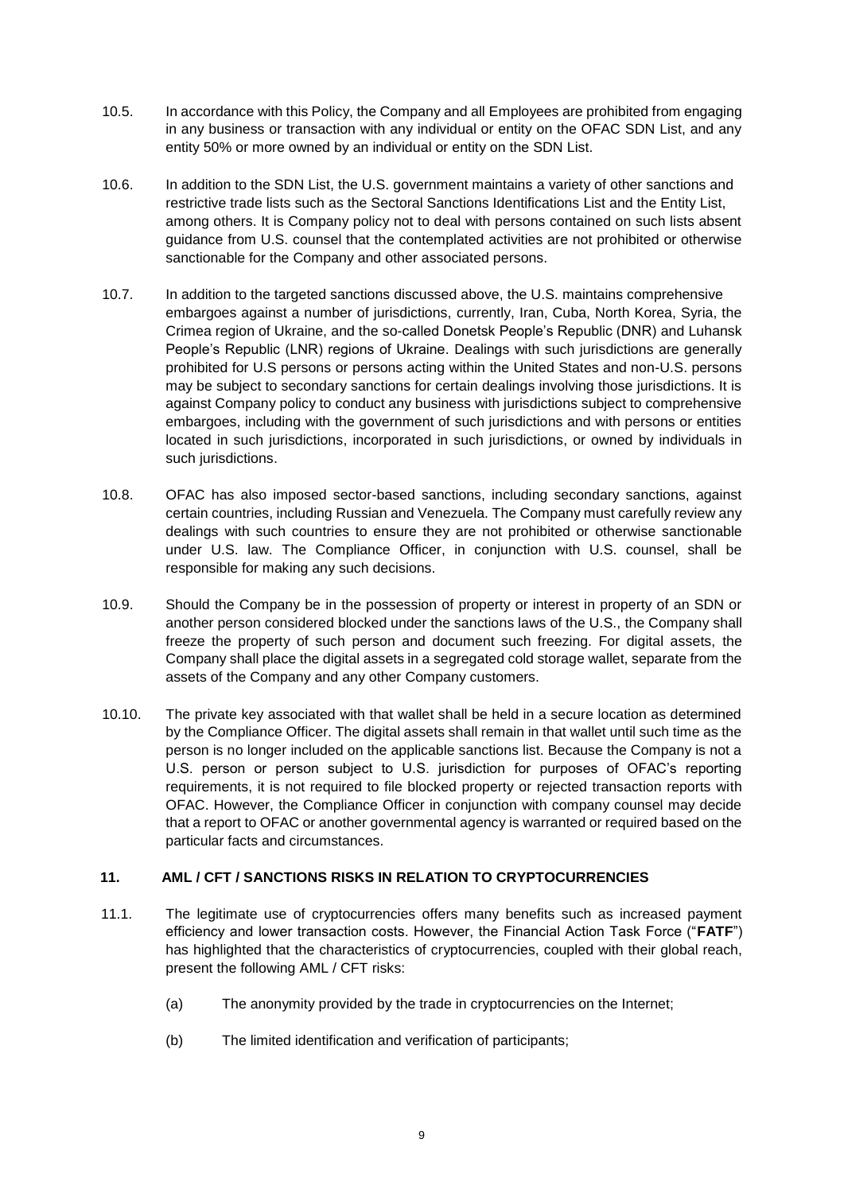- 10.5. In accordance with this Policy, the Company and all Employees are prohibited from engaging in any business or transaction with any individual or entity on the OFAC SDN List, and any entity 50% or more owned by an individual or entity on the SDN List.
- 10.6. In addition to the SDN List, the U.S. government maintains a variety of other sanctions and restrictive trade lists such as the Sectoral Sanctions Identifications List and the Entity List, among others. It is Company policy not to deal with persons contained on such lists absent guidance from U.S. counsel that the contemplated activities are not prohibited or otherwise sanctionable for the Company and other associated persons.
- 10.7. In addition to the targeted sanctions discussed above, the U.S. maintains comprehensive embargoes against a number of jurisdictions, currently, Iran, Cuba, North Korea, Syria, the Crimea region of Ukraine, and the so-called Donetsk People's Republic (DNR) and Luhansk People's Republic (LNR) regions of Ukraine. Dealings with such jurisdictions are generally prohibited for U.S persons or persons acting within the United States and non-U.S. persons may be subject to secondary sanctions for certain dealings involving those jurisdictions. It is against Company policy to conduct any business with jurisdictions subject to comprehensive embargoes, including with the government of such jurisdictions and with persons or entities located in such jurisdictions, incorporated in such jurisdictions, or owned by individuals in such jurisdictions.
- 10.8. OFAC has also imposed sector-based sanctions, including secondary sanctions, against certain countries, including Russian and Venezuela. The Company must carefully review any dealings with such countries to ensure they are not prohibited or otherwise sanctionable under U.S. law. The Compliance Officer, in conjunction with U.S. counsel, shall be responsible for making any such decisions.
- 10.9. Should the Company be in the possession of property or interest in property of an SDN or another person considered blocked under the sanctions laws of the U.S., the Company shall freeze the property of such person and document such freezing. For digital assets, the Company shall place the digital assets in a segregated cold storage wallet, separate from the assets of the Company and any other Company customers.
- 10.10. The private key associated with that wallet shall be held in a secure location as determined by the Compliance Officer. The digital assets shall remain in that wallet until such time as the person is no longer included on the applicable sanctions list. Because the Company is not a U.S. person or person subject to U.S. jurisdiction for purposes of OFAC's reporting requirements, it is not required to file blocked property or rejected transaction reports with OFAC. However, the Compliance Officer in conjunction with company counsel may decide that a report to OFAC or another governmental agency is warranted or required based on the particular facts and circumstances.

## **11. AML / CFT / SANCTIONS RISKS IN RELATION TO CRYPTOCURRENCIES**

- 11.1. The legitimate use of cryptocurrencies offers many benefits such as increased payment efficiency and lower transaction costs. However, the Financial Action Task Force ("**FATF**") has highlighted that the characteristics of cryptocurrencies, coupled with their global reach, present the following AML / CFT risks:
	- (a) The anonymity provided by the trade in cryptocurrencies on the Internet;
	- (b) The limited identification and verification of participants;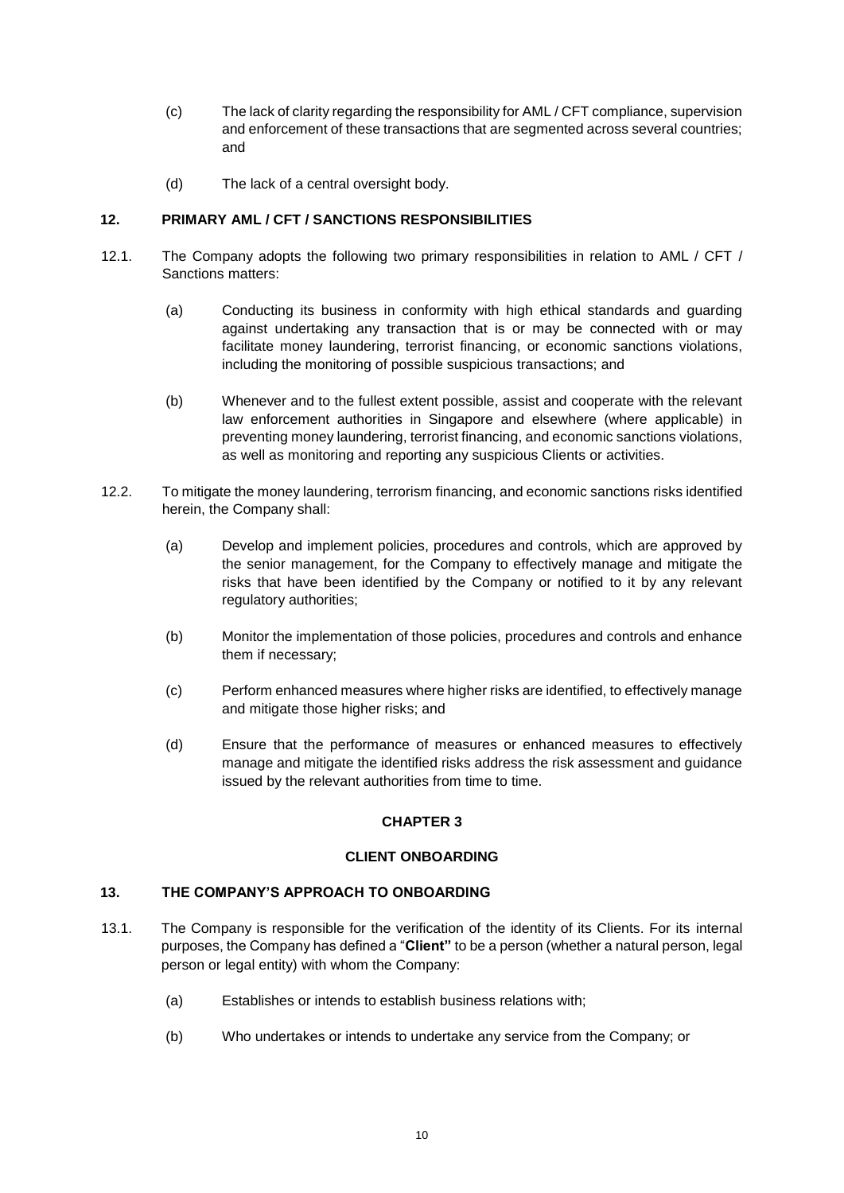- (c) The lack of clarity regarding the responsibility for AML / CFT compliance, supervision and enforcement of these transactions that are segmented across several countries; and
- (d) The lack of a central oversight body.

# **12. PRIMARY AML / CFT / SANCTIONS RESPONSIBILITIES**

- 12.1. The Company adopts the following two primary responsibilities in relation to AML / CFT / Sanctions matters:
	- (a) Conducting its business in conformity with high ethical standards and guarding against undertaking any transaction that is or may be connected with or may facilitate money laundering, terrorist financing, or economic sanctions violations, including the monitoring of possible suspicious transactions; and
	- (b) Whenever and to the fullest extent possible, assist and cooperate with the relevant law enforcement authorities in Singapore and elsewhere (where applicable) in preventing money laundering, terrorist financing, and economic sanctions violations, as well as monitoring and reporting any suspicious Clients or activities.
- 12.2. To mitigate the money laundering, terrorism financing, and economic sanctions risks identified herein, the Company shall:
	- (a) Develop and implement policies, procedures and controls, which are approved by the senior management, for the Company to effectively manage and mitigate the risks that have been identified by the Company or notified to it by any relevant regulatory authorities;
	- (b) Monitor the implementation of those policies, procedures and controls and enhance them if necessary;
	- (c) Perform enhanced measures where higher risks are identified, to effectively manage and mitigate those higher risks; and
	- (d) Ensure that the performance of measures or enhanced measures to effectively manage and mitigate the identified risks address the risk assessment and guidance issued by the relevant authorities from time to time.

# **CHAPTER 3**

#### **CLIENT ONBOARDING**

#### **13. THE COMPANY'S APPROACH TO ONBOARDING**

- 13.1. The Company is responsible for the verification of the identity of its Clients. For its internal purposes, the Company has defined a "**Client"** to be a person (whether a natural person, legal person or legal entity) with whom the Company:
	- (a) Establishes or intends to establish business relations with;
	- (b) Who undertakes or intends to undertake any service from the Company; or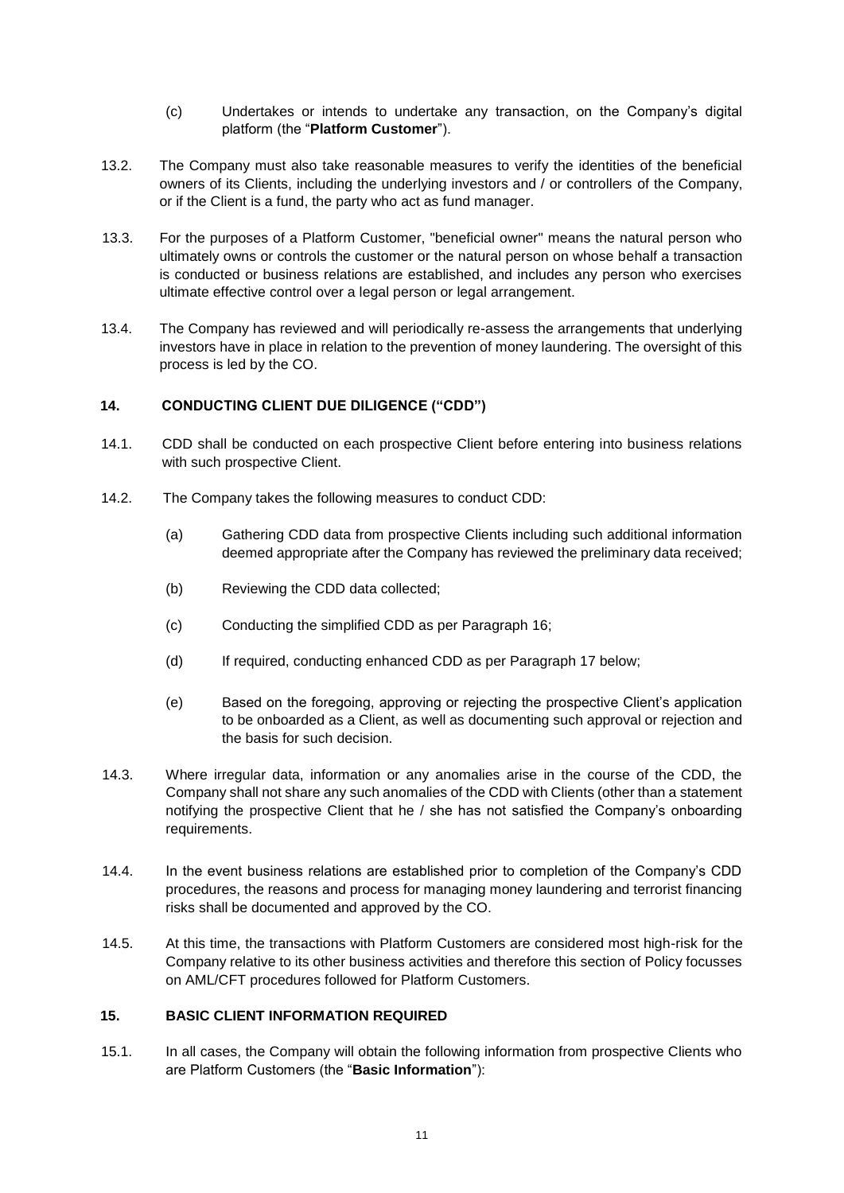- (c) Undertakes or intends to undertake any transaction, on the Company's digital platform (the "**Platform Customer**").
- 13.2. The Company must also take reasonable measures to verify the identities of the beneficial owners of its Clients, including the underlying investors and / or controllers of the Company, or if the Client is a fund, the party who act as fund manager.
- 13.3. For the purposes of a Platform Customer, "beneficial owner" means the natural person who ultimately owns or controls the customer or the natural person on whose behalf a transaction is conducted or business relations are established, and includes any person who exercises ultimate effective control over a legal person or legal arrangement.
- 13.4. The Company has reviewed and will periodically re-assess the arrangements that underlying investors have in place in relation to the prevention of money laundering. The oversight of this process is led by the CO.

# **14. CONDUCTING CLIENT DUE DILIGENCE ("CDD")**

- 14.1. CDD shall be conducted on each prospective Client before entering into business relations with such prospective Client.
- 14.2. The Company takes the following measures to conduct CDD:
	- (a) Gathering CDD data from prospective Clients including such additional information deemed appropriate after the Company has reviewed the preliminary data received;
	- (b) Reviewing the CDD data collected;
	- (c) Conducting the simplified CDD as per Paragraph 16;
	- (d) If required, conducting enhanced CDD as per Paragraph 17 below;
	- (e) Based on the foregoing, approving or rejecting the prospective Client's application to be onboarded as a Client, as well as documenting such approval or rejection and the basis for such decision.
- 14.3. Where irregular data, information or any anomalies arise in the course of the CDD, the Company shall not share any such anomalies of the CDD with Clients (other than a statement notifying the prospective Client that he / she has not satisfied the Company's onboarding requirements.
- 14.4. In the event business relations are established prior to completion of the Company's CDD procedures, the reasons and process for managing money laundering and terrorist financing risks shall be documented and approved by the CO.
- 14.5. At this time, the transactions with Platform Customers are considered most high-risk for the Company relative to its other business activities and therefore this section of Policy focusses on AML/CFT procedures followed for Platform Customers.

### **15. BASIC CLIENT INFORMATION REQUIRED**

15.1. In all cases, the Company will obtain the following information from prospective Clients who are Platform Customers (the "**Basic Information**"):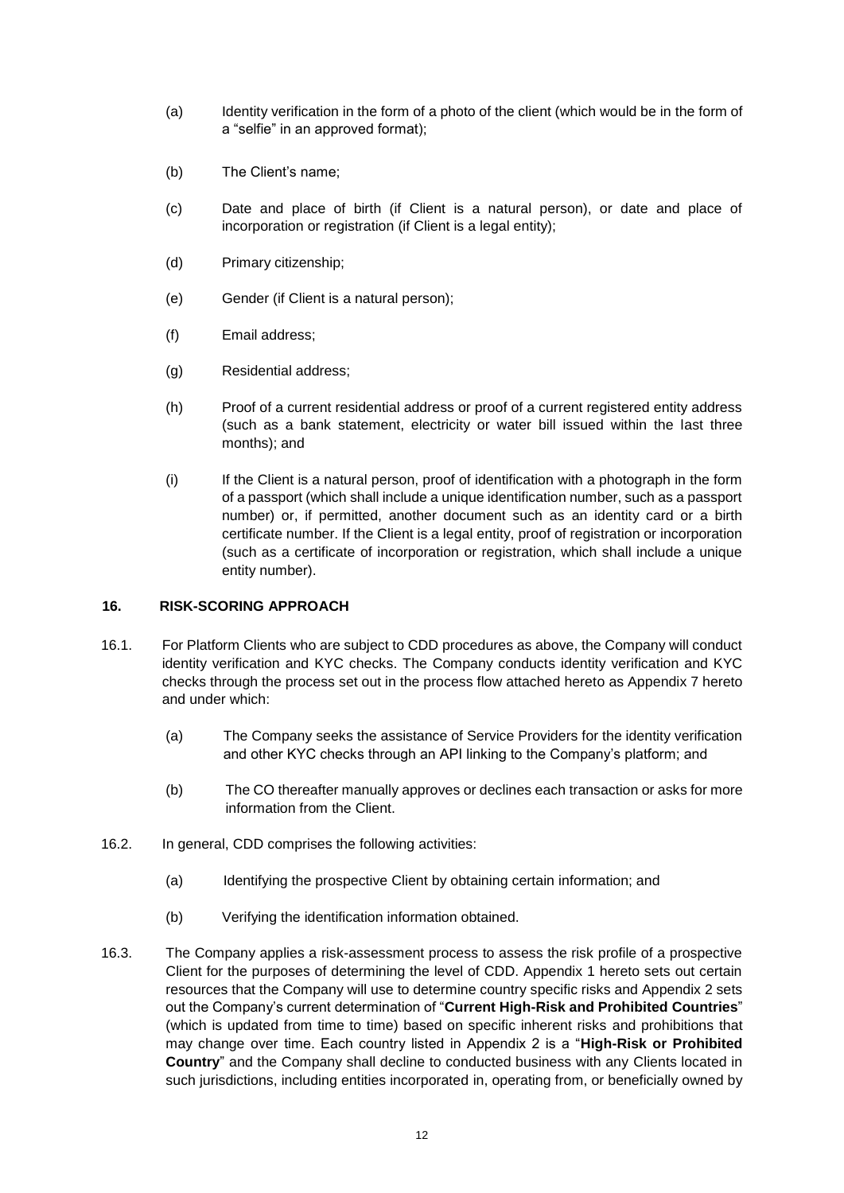- (a) Identity verification in the form of a photo of the client (which would be in the form of a "selfie" in an approved format);
- (b) The Client's name;
- (c) Date and place of birth (if Client is a natural person), or date and place of incorporation or registration (if Client is a legal entity);
- (d) Primary citizenship;
- (e) Gender (if Client is a natural person);
- (f) Email address;
- (g) Residential address;
- (h) Proof of a current residential address or proof of a current registered entity address (such as a bank statement, electricity or water bill issued within the last three months); and
- (i) If the Client is a natural person, proof of identification with a photograph in the form of a passport (which shall include a unique identification number, such as a passport number) or, if permitted, another document such as an identity card or a birth certificate number. If the Client is a legal entity, proof of registration or incorporation (such as a certificate of incorporation or registration, which shall include a unique entity number).

#### **16. RISK-SCORING APPROACH**

- 16.1. For Platform Clients who are subject to CDD procedures as above, the Company will conduct identity verification and KYC checks. The Company conducts identity verification and KYC checks through the process set out in the process flow attached hereto as Appendix 7 hereto and under which:
	- (a) The Company seeks the assistance of Service Providers for the identity verification and other KYC checks through an API linking to the Company's platform; and
	- (b) The CO thereafter manually approves or declines each transaction or asks for more information from the Client.
- 16.2. In general, CDD comprises the following activities:
	- (a) Identifying the prospective Client by obtaining certain information; and
	- (b) Verifying the identification information obtained.
- 16.3. The Company applies a risk-assessment process to assess the risk profile of a prospective Client for the purposes of determining the level of CDD. Appendix 1 hereto sets out certain resources that the Company will use to determine country specific risks and Appendix 2 sets out the Company's current determination of "**Current High-Risk and Prohibited Countries**" (which is updated from time to time) based on specific inherent risks and prohibitions that may change over time. Each country listed in Appendix 2 is a "**High-Risk or Prohibited Country**" and the Company shall decline to conducted business with any Clients located in such jurisdictions, including entities incorporated in, operating from, or beneficially owned by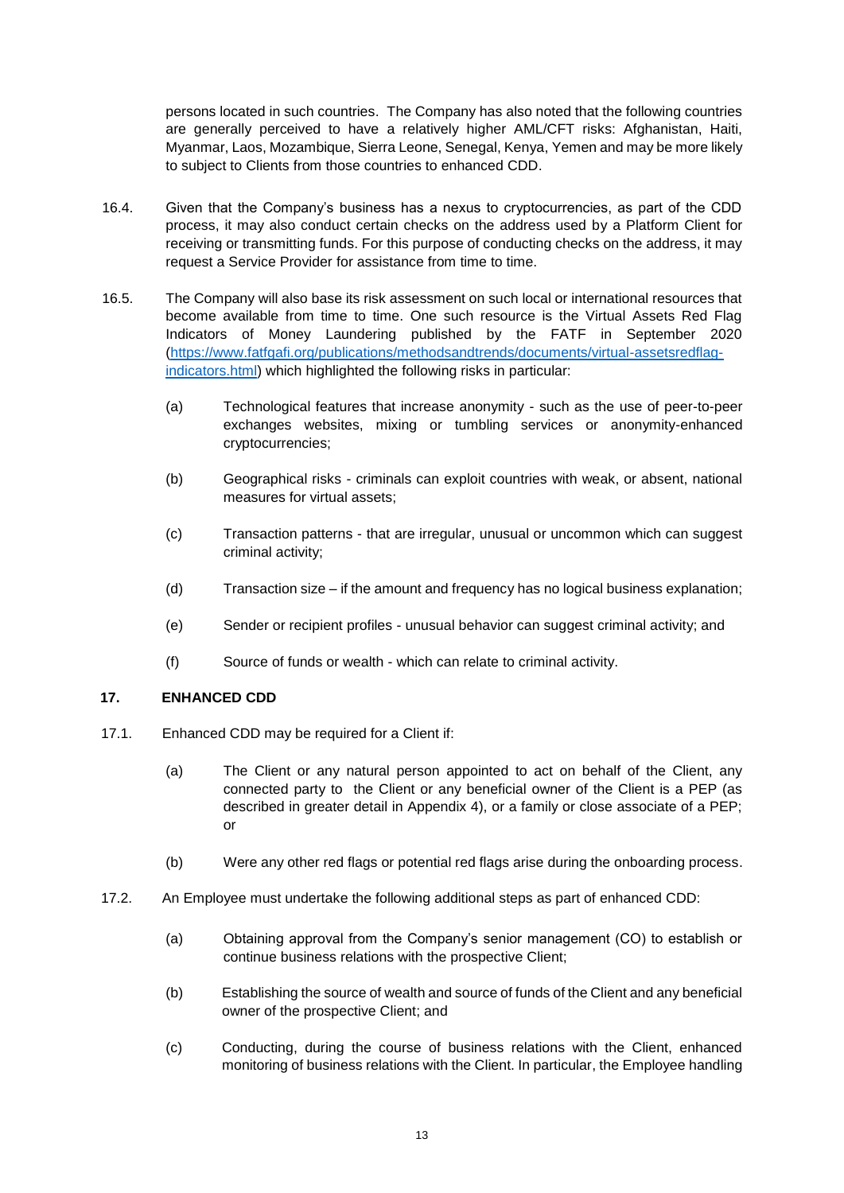persons located in such countries. The Company has also noted that the following countries are generally perceived to have a relatively higher AML/CFT risks: Afghanistan, Haiti, Myanmar, Laos, Mozambique, Sierra Leone, Senegal, Kenya, Yemen and may be more likely to subject to Clients from those countries to enhanced CDD.

- 16.4. Given that the Company's business has a nexus to cryptocurrencies, as part of the CDD process, it may also conduct certain checks on the address used by a Platform Client for receiving or transmitting funds. For this purpose of conducting checks on the address, it may request a Service Provider for assistance from time to time.
- 16.5. The Company will also base its risk assessment on such local or international resources that become available from time to time. One such resource is the Virtual Assets Red Flag Indicators of Money Laundering published by the FATF in September 2020 (https://www.fatfgafi.org/publications/methodsandtrends/documents/virtual-assetsredflagindicators.html) which highlighted the following risks in particular:
	- (a) Technological features that increase anonymity such as the use of peer-to-peer exchanges websites, mixing or tumbling services or anonymity-enhanced cryptocurrencies;
	- (b) Geographical risks criminals can exploit countries with weak, or absent, national measures for virtual assets;
	- (c) Transaction patterns that are irregular, unusual or uncommon which can suggest criminal activity;
	- (d) Transaction size if the amount and frequency has no logical business explanation;
	- (e) Sender or recipient profiles unusual behavior can suggest criminal activity; and
	- (f) Source of funds or wealth which can relate to criminal activity.

#### **17. ENHANCED CDD**

- 17.1. Enhanced CDD may be required for a Client if:
	- (a) The Client or any natural person appointed to act on behalf of the Client, any connected party to the Client or any beneficial owner of the Client is a PEP (as described in greater detail in Appendix 4), or a family or close associate of a PEP; or
	- (b) Were any other red flags or potential red flags arise during the onboarding process.
- 17.2. An Employee must undertake the following additional steps as part of enhanced CDD:
	- (a) Obtaining approval from the Company's senior management (CO) to establish or continue business relations with the prospective Client;
	- (b) Establishing the source of wealth and source of funds of the Client and any beneficial owner of the prospective Client; and
	- (c) Conducting, during the course of business relations with the Client, enhanced monitoring of business relations with the Client. In particular, the Employee handling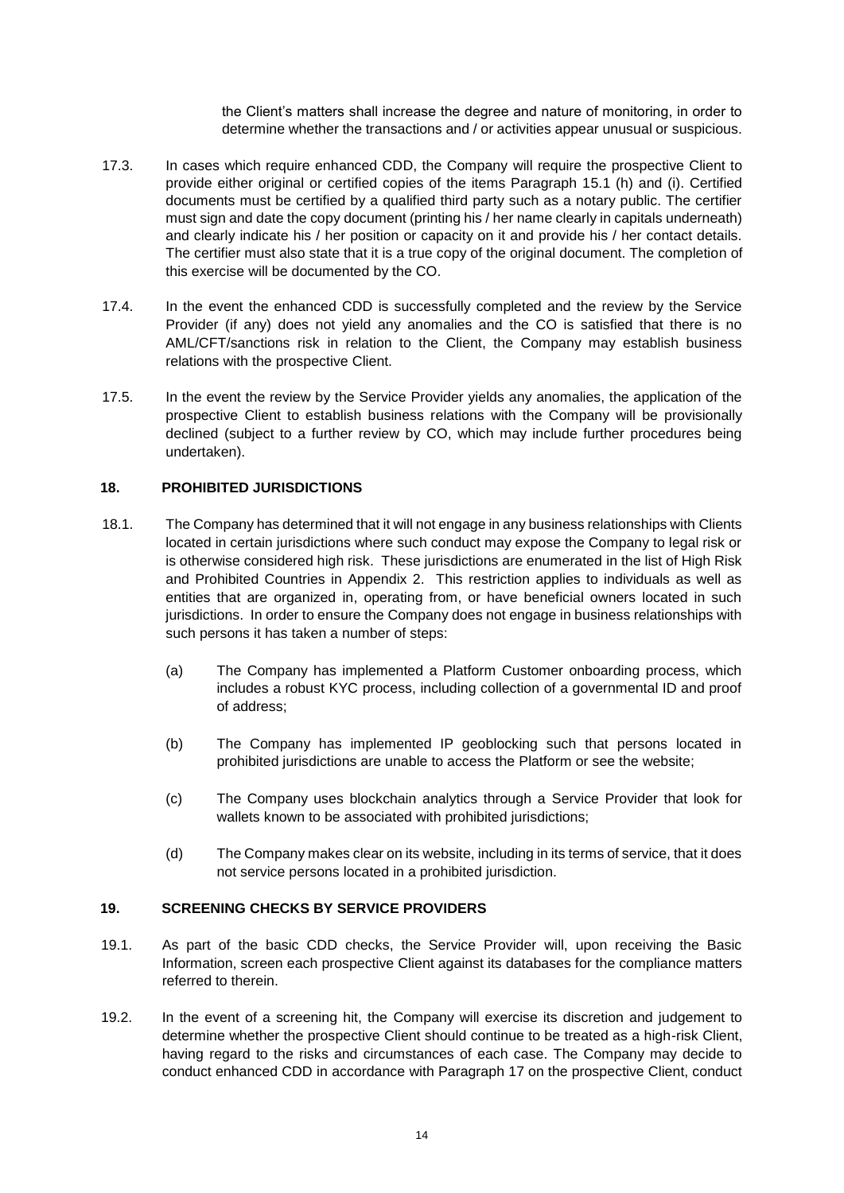the Client's matters shall increase the degree and nature of monitoring, in order to determine whether the transactions and / or activities appear unusual or suspicious.

- 17.3. In cases which require enhanced CDD, the Company will require the prospective Client to provide either original or certified copies of the items Paragraph 15.1 (h) and (i). Certified documents must be certified by a qualified third party such as a notary public. The certifier must sign and date the copy document (printing his / her name clearly in capitals underneath) and clearly indicate his / her position or capacity on it and provide his / her contact details. The certifier must also state that it is a true copy of the original document. The completion of this exercise will be documented by the CO.
- 17.4. In the event the enhanced CDD is successfully completed and the review by the Service Provider (if any) does not yield any anomalies and the CO is satisfied that there is no AML/CFT/sanctions risk in relation to the Client, the Company may establish business relations with the prospective Client.
- 17.5. In the event the review by the Service Provider yields any anomalies, the application of the prospective Client to establish business relations with the Company will be provisionally declined (subject to a further review by CO, which may include further procedures being undertaken).

# **18. PROHIBITED JURISDICTIONS**

- 18.1. The Company has determined that it will not engage in any business relationships with Clients located in certain jurisdictions where such conduct may expose the Company to legal risk or is otherwise considered high risk. These jurisdictions are enumerated in the list of High Risk and Prohibited Countries in Appendix 2. This restriction applies to individuals as well as entities that are organized in, operating from, or have beneficial owners located in such jurisdictions. In order to ensure the Company does not engage in business relationships with such persons it has taken a number of steps:
	- (a) The Company has implemented a Platform Customer onboarding process, which includes a robust KYC process, including collection of a governmental ID and proof of address;
	- (b) The Company has implemented IP geoblocking such that persons located in prohibited jurisdictions are unable to access the Platform or see the website;
	- (c) The Company uses blockchain analytics through a Service Provider that look for wallets known to be associated with prohibited jurisdictions;
	- (d) The Company makes clear on its website, including in its terms of service, that it does not service persons located in a prohibited jurisdiction.

#### **19. SCREENING CHECKS BY SERVICE PROVIDERS**

- 19.1. As part of the basic CDD checks, the Service Provider will, upon receiving the Basic Information, screen each prospective Client against its databases for the compliance matters referred to therein.
- 19.2. In the event of a screening hit, the Company will exercise its discretion and judgement to determine whether the prospective Client should continue to be treated as a high-risk Client, having regard to the risks and circumstances of each case. The Company may decide to conduct enhanced CDD in accordance with Paragraph 17 on the prospective Client, conduct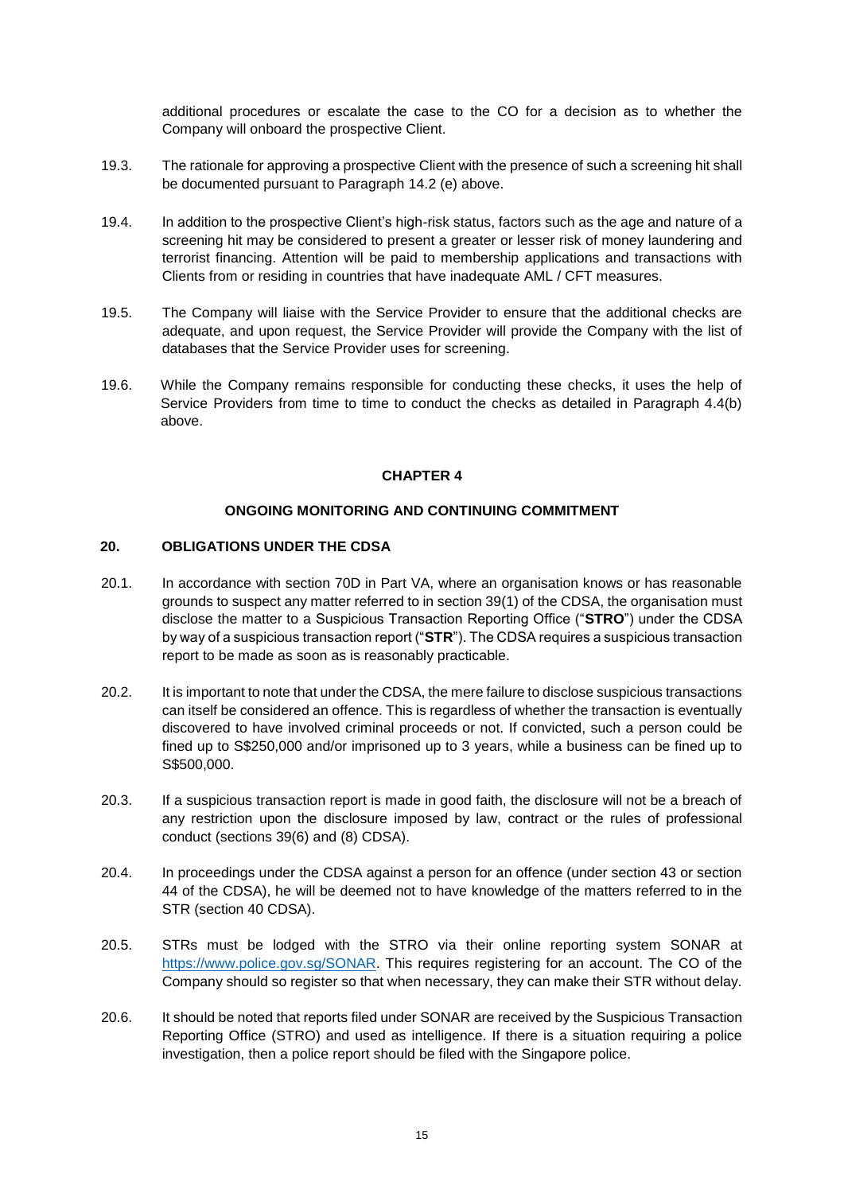additional procedures or escalate the case to the CO for a decision as to whether the Company will onboard the prospective Client.

- 19.3. The rationale for approving a prospective Client with the presence of such a screening hit shall be documented pursuant to Paragraph 14.2 (e) above.
- 19.4. In addition to the prospective Client's high-risk status, factors such as the age and nature of a screening hit may be considered to present a greater or lesser risk of money laundering and terrorist financing. Attention will be paid to membership applications and transactions with Clients from or residing in countries that have inadequate AML / CFT measures.
- 19.5. The Company will liaise with the Service Provider to ensure that the additional checks are adequate, and upon request, the Service Provider will provide the Company with the list of databases that the Service Provider uses for screening.
- 19.6. While the Company remains responsible for conducting these checks, it uses the help of Service Providers from time to time to conduct the checks as detailed in Paragraph 4.4(b) above.

#### **CHAPTER 4**

#### **ONGOING MONITORING AND CONTINUING COMMITMENT**

## **20. OBLIGATIONS UNDER THE CDSA**

- 20.1. In accordance with section 70D in Part VA, where an organisation knows or has reasonable grounds to suspect any matter referred to in section 39(1) of the CDSA, the organisation must disclose the matter to a Suspicious Transaction Reporting Office ("**STRO**") under the CDSA by way of a suspicious transaction report ("**STR**"). The CDSA requires a suspicious transaction report to be made as soon as is reasonably practicable.
- 20.2. It is important to note that under the CDSA, the mere failure to disclose suspicious transactions can itself be considered an offence. This is regardless of whether the transaction is eventually discovered to have involved criminal proceeds or not. If convicted, such a person could be fined up to S\$250,000 and/or imprisoned up to 3 years, while a business can be fined up to S\$500,000.
- 20.3. If a suspicious transaction report is made in good faith, the disclosure will not be a breach of any restriction upon the disclosure imposed by law, contract or the rules of professional conduct (sections 39(6) and (8) CDSA).
- 20.4. In proceedings under the CDSA against a person for an offence (under section 43 or section 44 of the CDSA), he will be deemed not to have knowledge of the matters referred to in the STR (section 40 CDSA).
- 20.5. STRs must be lodged with the STRO via their online reporting system SONAR at https://www.police.gov.sg/SONAR. This requires registering for an account. The CO of the Company should so register so that when necessary, they can make their STR without delay.
- 20.6. It should be noted that reports filed under SONAR are received by the Suspicious Transaction Reporting Office (STRO) and used as intelligence. If there is a situation requiring a police investigation, then a police report should be filed with the Singapore police.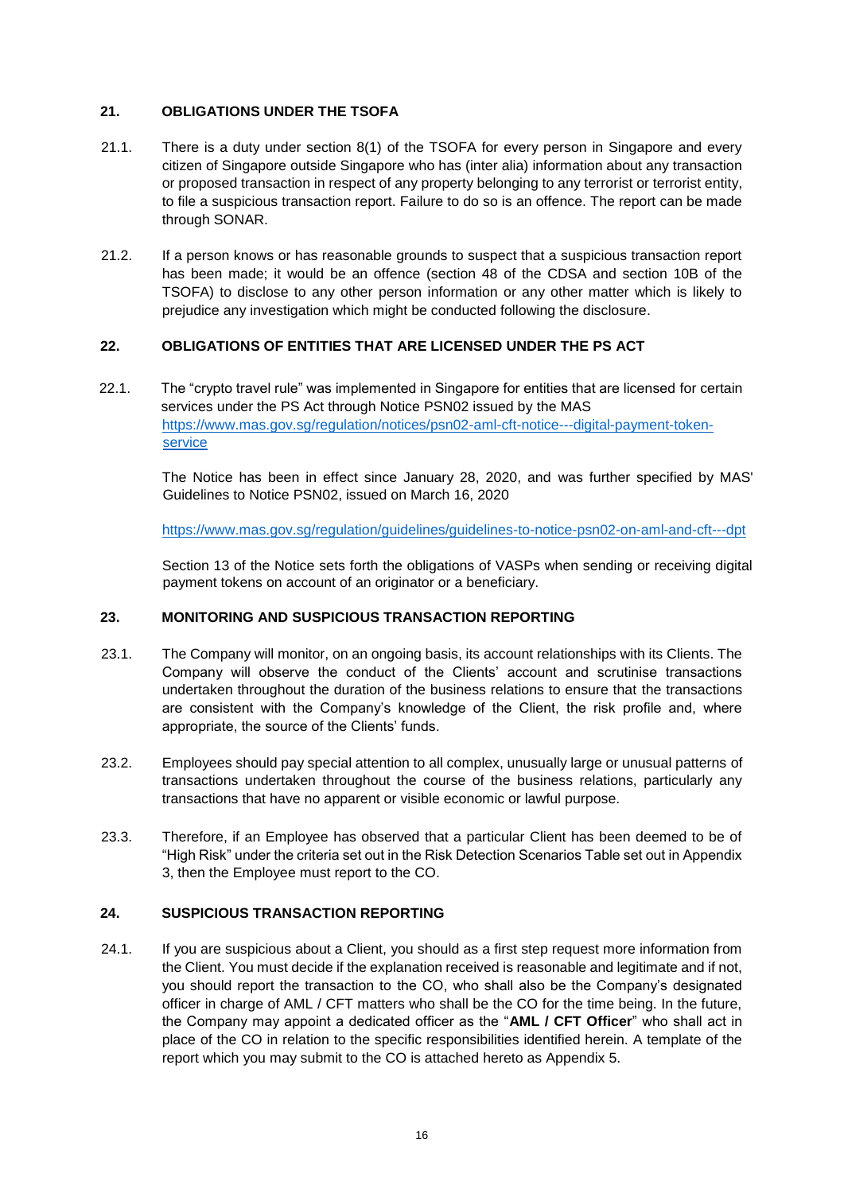# **21. OBLIGATIONS UNDER THE TSOFA**

- 21.1. There is a duty under section 8(1) of the TSOFA for every person in Singapore and every citizen of Singapore outside Singapore who has (inter alia) information about any transaction or proposed transaction in respect of any property belonging to any terrorist or terrorist entity, to file a suspicious transaction report. Failure to do so is an offence. The report can be made through SONAR.
- 21.2. If a person knows or has reasonable grounds to suspect that a suspicious transaction report has been made; it would be an offence (section 48 of the CDSA and section 10B of the TSOFA) to disclose to any other person information or any other matter which is likely to prejudice any investigation which might be conducted following the disclosure.

# **22. OBLIGATIONS OF ENTITIES THAT ARE LICENSED UNDER THE PS ACT**

22.1. The "crypto travel rule" was implemented in Singapore for entities that are licensed for certain services under the PS Act through Notice PSN02 issued by the MAS [https://www.mas.gov.sg/regulation/notices/psn02-aml-cft-notice---digital-payment-token](https://www.mas.gov.sg/regulation/notices/psn02-aml-cft-notice---digital-payment-token-service)[service](https://www.mas.gov.sg/regulation/notices/psn02-aml-cft-notice---digital-payment-token-service)

The Notice has been in effect since January 28, 2020, and was further specified by MAS' Guidelines to Notice PSN02, issued on March 16, 2020

<https://www.mas.gov.sg/regulation/guidelines/guidelines-to-notice-psn02-on-aml-and-cft---dpt>

Section 13 of the Notice sets forth the obligations of VASPs when sending or receiving digital payment tokens on account of an originator or a beneficiary.

#### **23. MONITORING AND SUSPICIOUS TRANSACTION REPORTING**

- 23.1. The Company will monitor, on an ongoing basis, its account relationships with its Clients. The Company will observe the conduct of the Clients' account and scrutinise transactions undertaken throughout the duration of the business relations to ensure that the transactions are consistent with the Company's knowledge of the Client, the risk profile and, where appropriate, the source of the Clients' funds.
- 23.2. Employees should pay special attention to all complex, unusually large or unusual patterns of transactions undertaken throughout the course of the business relations, particularly any transactions that have no apparent or visible economic or lawful purpose.
- 23.3. Therefore, if an Employee has observed that a particular Client has been deemed to be of "High Risk" under the criteria set out in the Risk Detection Scenarios Table set out in Appendix 3, then the Employee must report to the CO.

# **24. SUSPICIOUS TRANSACTION REPORTING**

24.1. If you are suspicious about a Client, you should as a first step request more information from the Client. You must decide if the explanation received is reasonable and legitimate and if not, you should report the transaction to the CO, who shall also be the Company's designated officer in charge of AML / CFT matters who shall be the CO for the time being. In the future, the Company may appoint a dedicated officer as the "**AML / CFT Officer**" who shall act in place of the CO in relation to the specific responsibilities identified herein. A template of the report which you may submit to the CO is attached hereto as Appendix 5.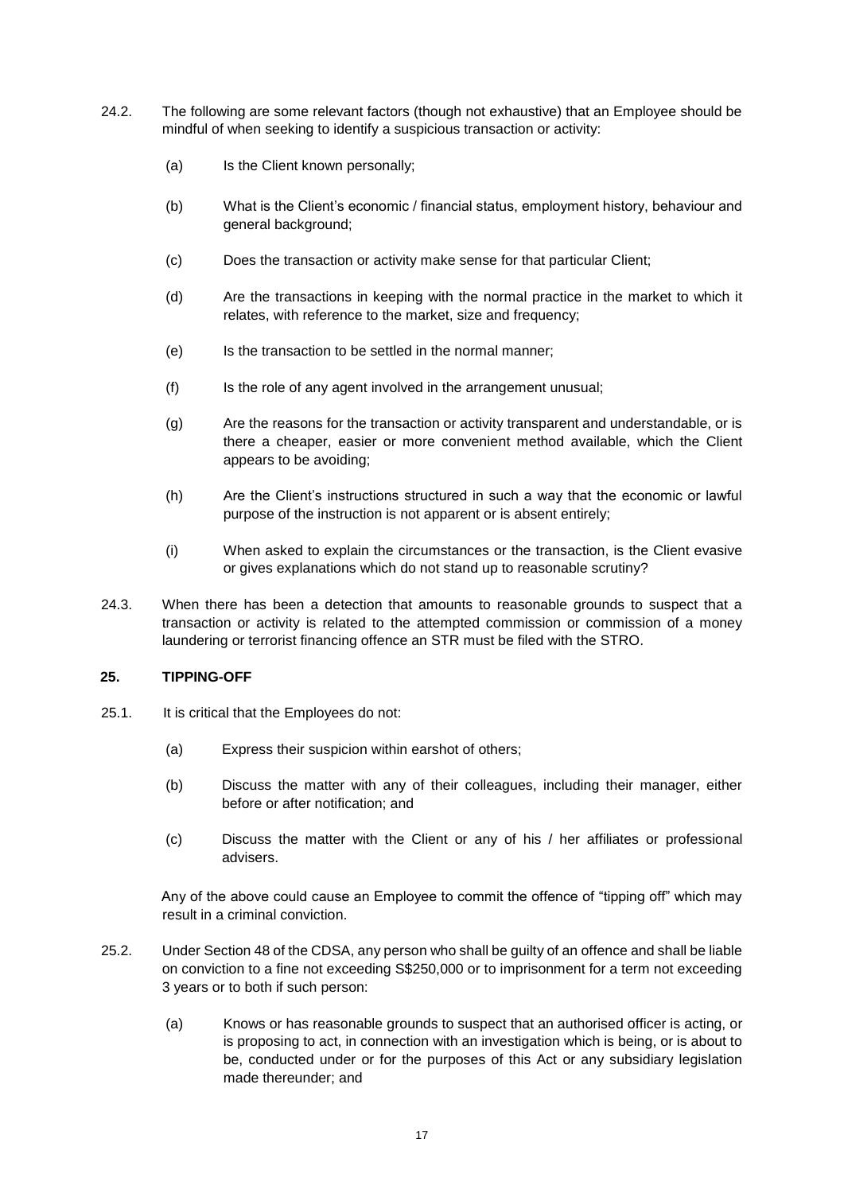- 24.2. The following are some relevant factors (though not exhaustive) that an Employee should be mindful of when seeking to identify a suspicious transaction or activity:
	- (a) Is the Client known personally;
	- (b) What is the Client's economic / financial status, employment history, behaviour and general background;
	- (c) Does the transaction or activity make sense for that particular Client;
	- (d) Are the transactions in keeping with the normal practice in the market to which it relates, with reference to the market, size and frequency;
	- (e) Is the transaction to be settled in the normal manner;
	- (f) Is the role of any agent involved in the arrangement unusual;
	- (g) Are the reasons for the transaction or activity transparent and understandable, or is there a cheaper, easier or more convenient method available, which the Client appears to be avoiding;
	- (h) Are the Client's instructions structured in such a way that the economic or lawful purpose of the instruction is not apparent or is absent entirely;
	- (i) When asked to explain the circumstances or the transaction, is the Client evasive or gives explanations which do not stand up to reasonable scrutiny?
- 24.3. When there has been a detection that amounts to reasonable grounds to suspect that a transaction or activity is related to the attempted commission or commission of a money laundering or terrorist financing offence an STR must be filed with the STRO.

#### **25. TIPPING-OFF**

- 25.1. It is critical that the Employees do not:
	- (a) Express their suspicion within earshot of others;
	- (b) Discuss the matter with any of their colleagues, including their manager, either before or after notification; and
	- (c) Discuss the matter with the Client or any of his / her affiliates or professional advisers.

Any of the above could cause an Employee to commit the offence of "tipping off" which may result in a criminal conviction.

- 25.2. Under Section 48 of the CDSA, any person who shall be guilty of an offence and shall be liable on conviction to a fine not exceeding S\$250,000 or to imprisonment for a term not exceeding 3 years or to both if such person:
	- (a) Knows or has reasonable grounds to suspect that an authorised officer is acting, or is proposing to act, in connection with an investigation which is being, or is about to be, conducted under or for the purposes of this Act or any subsidiary legislation made thereunder; and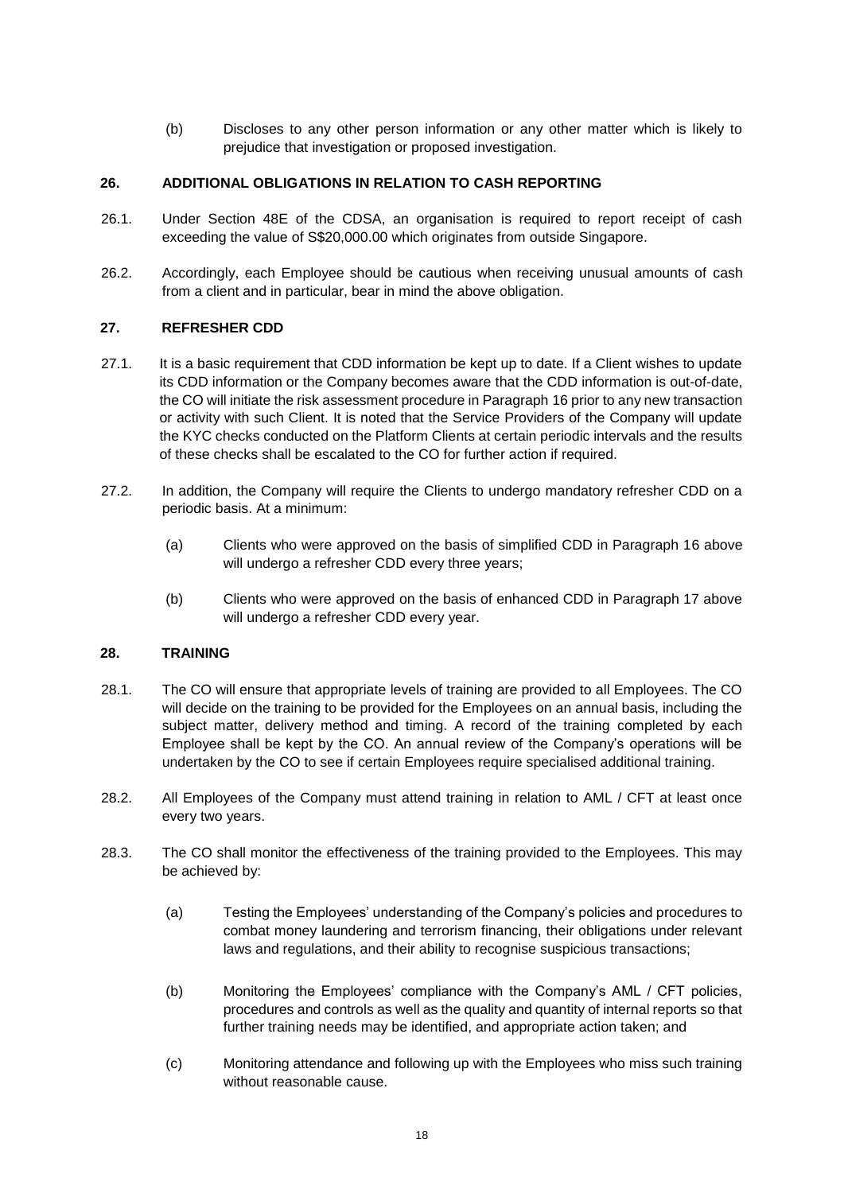(b) Discloses to any other person information or any other matter which is likely to prejudice that investigation or proposed investigation.

# **26. ADDITIONAL OBLIGATIONS IN RELATION TO CASH REPORTING**

- 26.1. Under Section 48E of the CDSA, an organisation is required to report receipt of cash exceeding the value of S\$20,000.00 which originates from outside Singapore.
- 26.2. Accordingly, each Employee should be cautious when receiving unusual amounts of cash from a client and in particular, bear in mind the above obligation.

# **27. REFRESHER CDD**

- 27.1. It is a basic requirement that CDD information be kept up to date. If a Client wishes to update its CDD information or the Company becomes aware that the CDD information is out-of-date, the CO will initiate the risk assessment procedure in Paragraph 16 prior to any new transaction or activity with such Client. It is noted that the Service Providers of the Company will update the KYC checks conducted on the Platform Clients at certain periodic intervals and the results of these checks shall be escalated to the CO for further action if required.
- 27.2. In addition, the Company will require the Clients to undergo mandatory refresher CDD on a periodic basis. At a minimum:
	- (a) Clients who were approved on the basis of simplified CDD in Paragraph 16 above will undergo a refresher CDD every three years;
	- (b) Clients who were approved on the basis of enhanced CDD in Paragraph 17 above will undergo a refresher CDD every year.

#### **28. TRAINING**

- 28.1. The CO will ensure that appropriate levels of training are provided to all Employees. The CO will decide on the training to be provided for the Employees on an annual basis, including the subject matter, delivery method and timing. A record of the training completed by each Employee shall be kept by the CO. An annual review of the Company's operations will be undertaken by the CO to see if certain Employees require specialised additional training.
- 28.2. All Employees of the Company must attend training in relation to AML / CFT at least once every two years.
- 28.3. The CO shall monitor the effectiveness of the training provided to the Employees. This may be achieved by:
	- (a) Testing the Employees' understanding of the Company's policies and procedures to combat money laundering and terrorism financing, their obligations under relevant laws and regulations, and their ability to recognise suspicious transactions;
	- (b) Monitoring the Employees' compliance with the Company's AML / CFT policies, procedures and controls as well as the quality and quantity of internal reports so that further training needs may be identified, and appropriate action taken; and
	- (c) Monitoring attendance and following up with the Employees who miss such training without reasonable cause.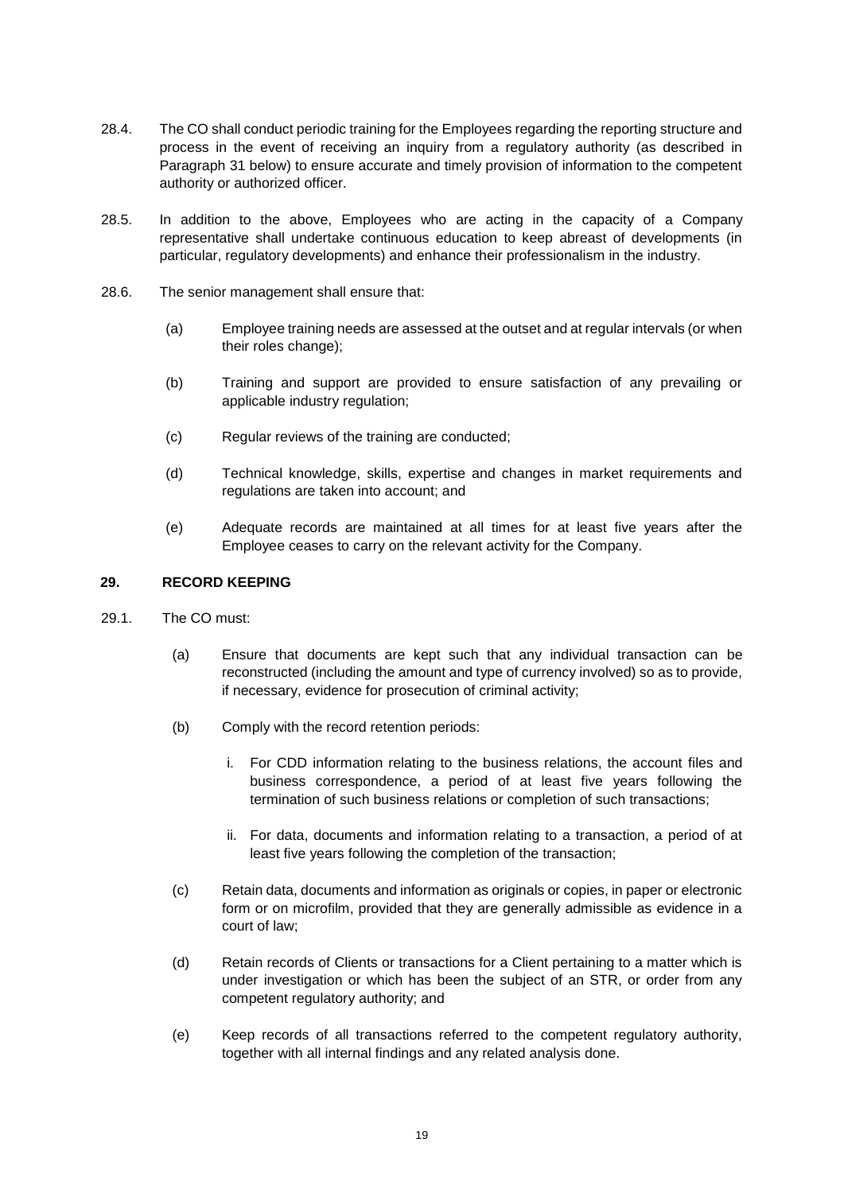- 28.4. The CO shall conduct periodic training for the Employees regarding the reporting structure and process in the event of receiving an inquiry from a regulatory authority (as described in Paragraph 31 below) to ensure accurate and timely provision of information to the competent authority or authorized officer.
- 28.5. In addition to the above, Employees who are acting in the capacity of a Company representative shall undertake continuous education to keep abreast of developments (in particular, regulatory developments) and enhance their professionalism in the industry.
- 28.6. The senior management shall ensure that:
	- (a) Employee training needs are assessed at the outset and at regular intervals (or when their roles change);
	- (b) Training and support are provided to ensure satisfaction of any prevailing or applicable industry regulation;
	- (c) Regular reviews of the training are conducted;
	- (d) Technical knowledge, skills, expertise and changes in market requirements and regulations are taken into account; and
	- (e) Adequate records are maintained at all times for at least five years after the Employee ceases to carry on the relevant activity for the Company.

# **29. RECORD KEEPING**

- 29.1. The CO must:
	- (a) Ensure that documents are kept such that any individual transaction can be reconstructed (including the amount and type of currency involved) so as to provide, if necessary, evidence for prosecution of criminal activity;
	- (b) Comply with the record retention periods:
		- i. For CDD information relating to the business relations, the account files and business correspondence, a period of at least five years following the termination of such business relations or completion of such transactions;
		- ii. For data, documents and information relating to a transaction, a period of at least five years following the completion of the transaction;
	- (c) Retain data, documents and information as originals or copies, in paper or electronic form or on microfilm, provided that they are generally admissible as evidence in a court of law;
	- (d) Retain records of Clients or transactions for a Client pertaining to a matter which is under investigation or which has been the subject of an STR, or order from any competent regulatory authority; and
	- (e) Keep records of all transactions referred to the competent regulatory authority, together with all internal findings and any related analysis done.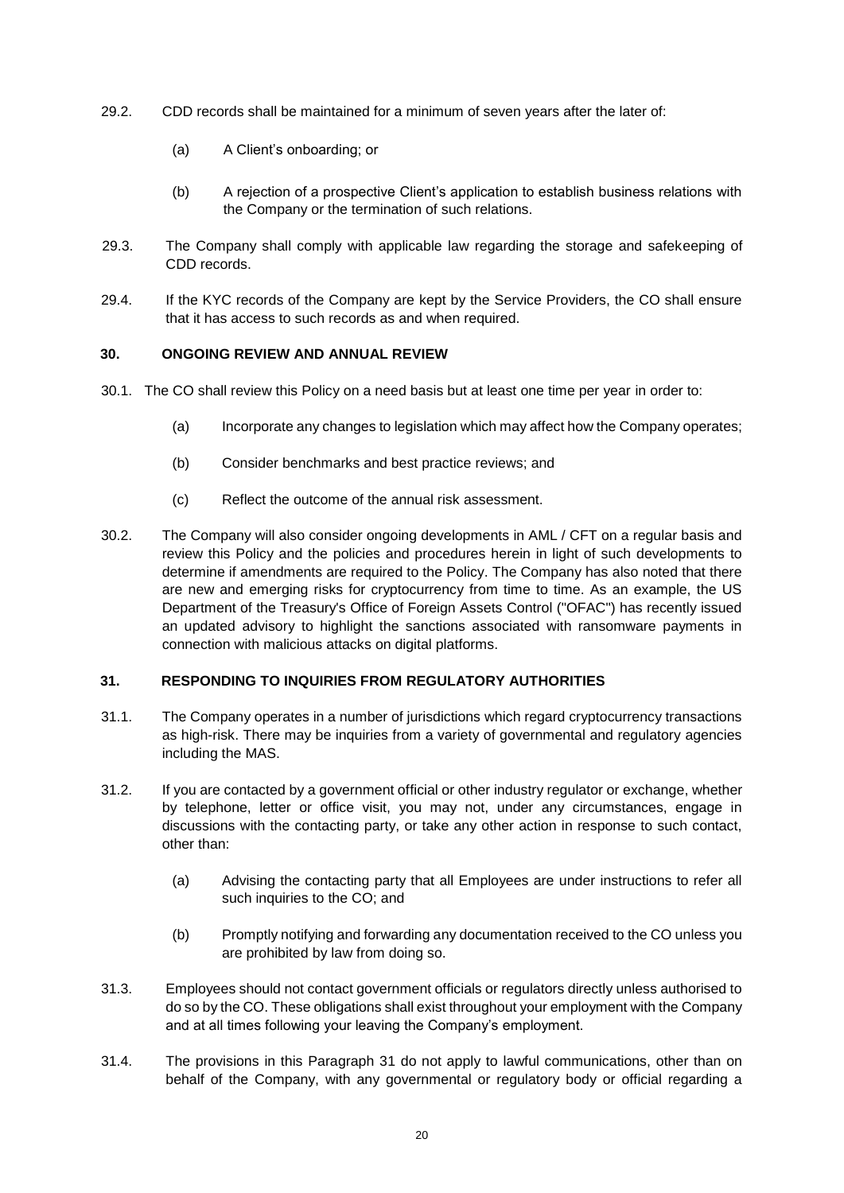- 29.2. CDD records shall be maintained for a minimum of seven years after the later of:
	- (a) A Client's onboarding; or
	- (b) A rejection of a prospective Client's application to establish business relations with the Company or the termination of such relations.
- 29.3. The Company shall comply with applicable law regarding the storage and safekeeping of CDD records.
- 29.4. If the KYC records of the Company are kept by the Service Providers, the CO shall ensure that it has access to such records as and when required.

#### **30. ONGOING REVIEW AND ANNUAL REVIEW**

- 30.1. The CO shall review this Policy on a need basis but at least one time per year in order to:
	- (a) Incorporate any changes to legislation which may affect how the Company operates;
	- (b) Consider benchmarks and best practice reviews; and
	- (c) Reflect the outcome of the annual risk assessment.
- 30.2. The Company will also consider ongoing developments in AML / CFT on a regular basis and review this Policy and the policies and procedures herein in light of such developments to determine if amendments are required to the Policy. The Company has also noted that there are new and emerging risks for cryptocurrency from time to time. As an example, the US Department of the Treasury's Office of Foreign Assets Control ("OFAC") has recently issued an updated advisory to highlight the sanctions associated with ransomware payments in connection with malicious attacks on digital platforms.

#### **31. RESPONDING TO INQUIRIES FROM REGULATORY AUTHORITIES**

- 31.1. The Company operates in a number of jurisdictions which regard cryptocurrency transactions as high-risk. There may be inquiries from a variety of governmental and regulatory agencies including the MAS.
- 31.2. If you are contacted by a government official or other industry regulator or exchange, whether by telephone, letter or office visit, you may not, under any circumstances, engage in discussions with the contacting party, or take any other action in response to such contact, other than:
	- (a) Advising the contacting party that all Employees are under instructions to refer all such inquiries to the CO; and
	- (b) Promptly notifying and forwarding any documentation received to the CO unless you are prohibited by law from doing so.
- 31.3. Employees should not contact government officials or regulators directly unless authorised to do so by the CO. These obligations shall exist throughout your employment with the Company and at all times following your leaving the Company's employment.
- 31.4. The provisions in this Paragraph 31 do not apply to lawful communications, other than on behalf of the Company, with any governmental or regulatory body or official regarding a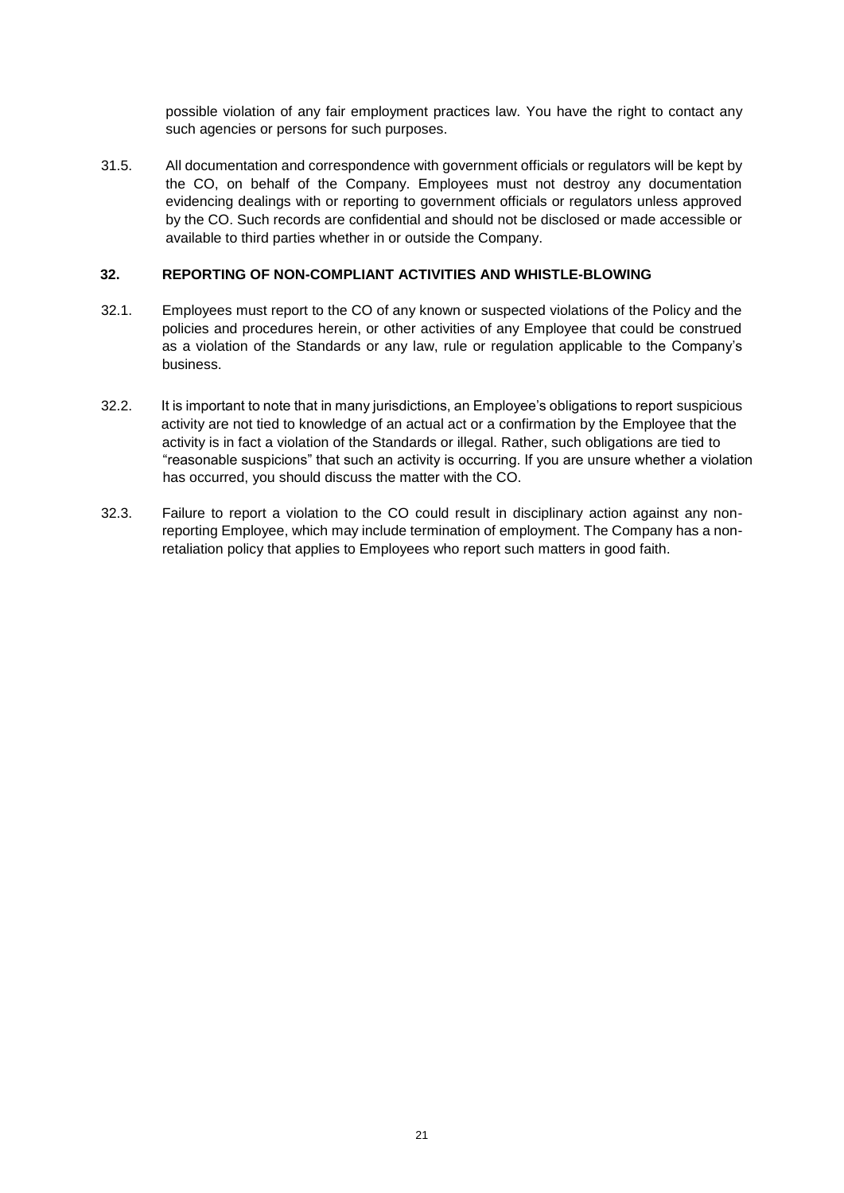possible violation of any fair employment practices law. You have the right to contact any such agencies or persons for such purposes.

31.5. All documentation and correspondence with government officials or regulators will be kept by the CO, on behalf of the Company. Employees must not destroy any documentation evidencing dealings with or reporting to government officials or regulators unless approved by the CO. Such records are confidential and should not be disclosed or made accessible or available to third parties whether in or outside the Company.

# **32. REPORTING OF NON-COMPLIANT ACTIVITIES AND WHISTLE-BLOWING**

- 32.1. Employees must report to the CO of any known or suspected violations of the Policy and the policies and procedures herein, or other activities of any Employee that could be construed as a violation of the Standards or any law, rule or regulation applicable to the Company's business.
- 32.2. It is important to note that in many jurisdictions, an Employee's obligations to report suspicious activity are not tied to knowledge of an actual act or a confirmation by the Employee that the activity is in fact a violation of the Standards or illegal. Rather, such obligations are tied to "reasonable suspicions" that such an activity is occurring. If you are unsure whether a violation has occurred, you should discuss the matter with the CO.
- 32.3. Failure to report a violation to the CO could result in disciplinary action against any nonreporting Employee, which may include termination of employment. The Company has a nonretaliation policy that applies to Employees who report such matters in good faith.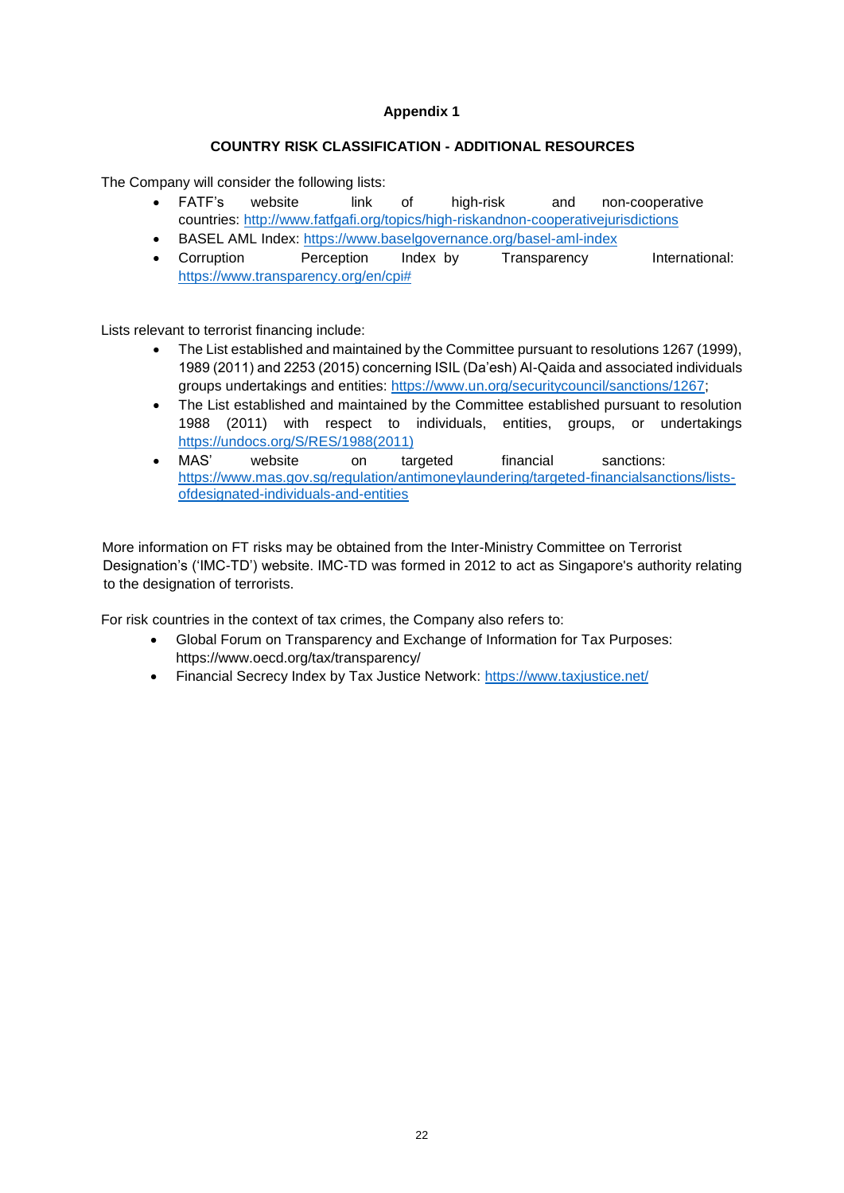# **COUNTRY RISK CLASSIFICATION - ADDITIONAL RESOURCES**

The Company will consider the following lists:

- FATF's website link of high-risk and non-cooperative countries: http://www.fatfgafi.org/topics/high-riskandnon-cooperativejurisdictions
- BASEL AML Index: https://www.baselgovernance.org/basel-aml-index
- Corruption Perception Index by Transparency International: https://www.transparency.org/en/cpi#

Lists relevant to terrorist financing include:

- The List established and maintained by the Committee pursuant to resolutions 1267 (1999), 1989 (2011) and 2253 (2015) concerning ISIL (Da'esh) Al-Qaida and associated individuals groups undertakings and entities: https://www.un.org/securitycouncil/sanctions/1267;
- The List established and maintained by the Committee established pursuant to resolution 1988 (2011) with respect to individuals, entities, groups, or undertakings https://undocs.org/S/RES/1988(2011)
- MAS' website on targeted financial sanctions: https://www.mas.gov.sg/regulation/antimoneylaundering/targeted-financialsanctions/listsofdesignated-individuals-and-entities

More information on FT risks may be obtained from the Inter-Ministry Committee on Terrorist Designation's ('IMC-TD') website. IMC-TD was formed in 2012 to act as Singapore's authority relating to the designation of terrorists.

For risk countries in the context of tax crimes, the Company also refers to:

- Global Forum on Transparency and Exchange of Information for Tax Purposes: https://www.oecd.org/tax/transparency/
- Financial Secrecy Index by Tax Justice Network: https://www.taxjustice.net/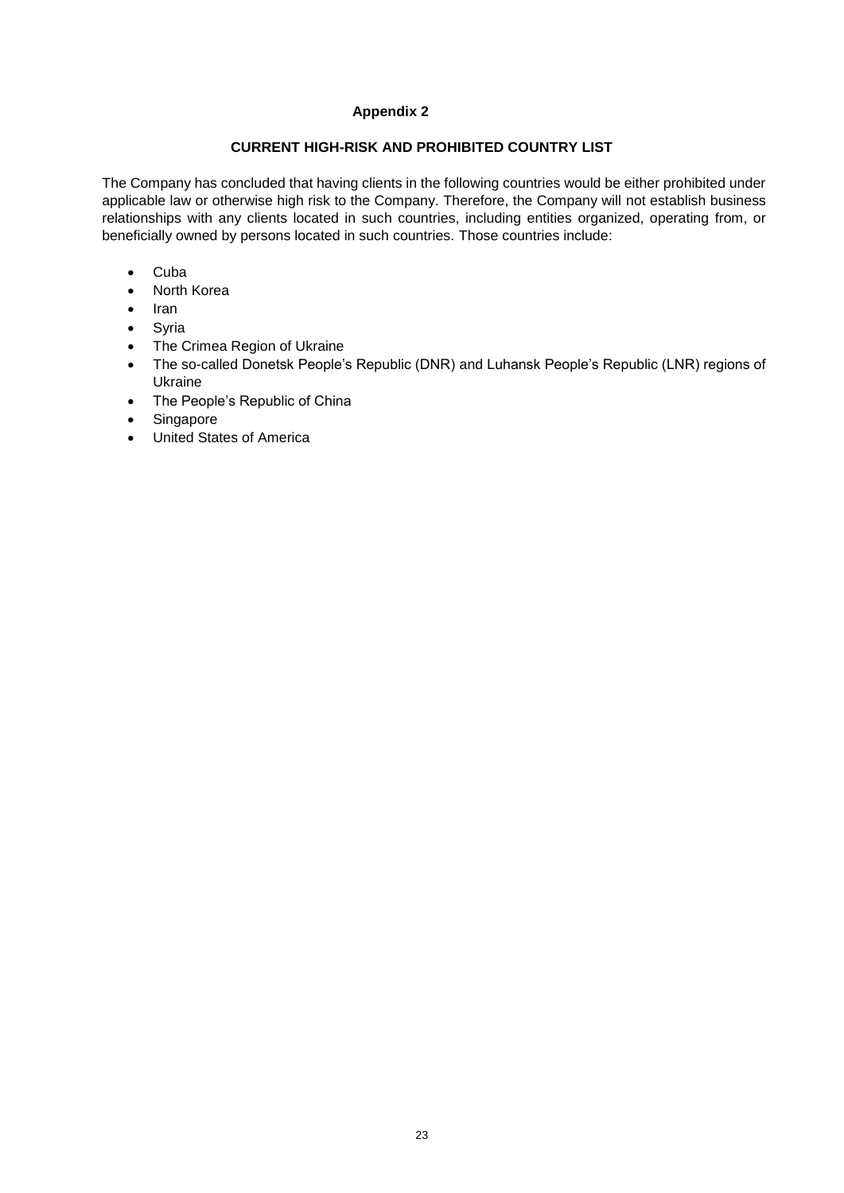# **CURRENT HIGH-RISK AND PROHIBITED COUNTRY LIST**

The Company has concluded that having clients in the following countries would be either prohibited under applicable law or otherwise high risk to the Company. Therefore, the Company will not establish business relationships with any clients located in such countries, including entities organized, operating from, or beneficially owned by persons located in such countries. Those countries include:

- Cuba
- North Korea
- Iran
- Syria
- The Crimea Region of Ukraine
- The so-called Donetsk People's Republic (DNR) and Luhansk People's Republic (LNR) regions of Ukraine
- The People's Republic of China
- Singapore
- United States of America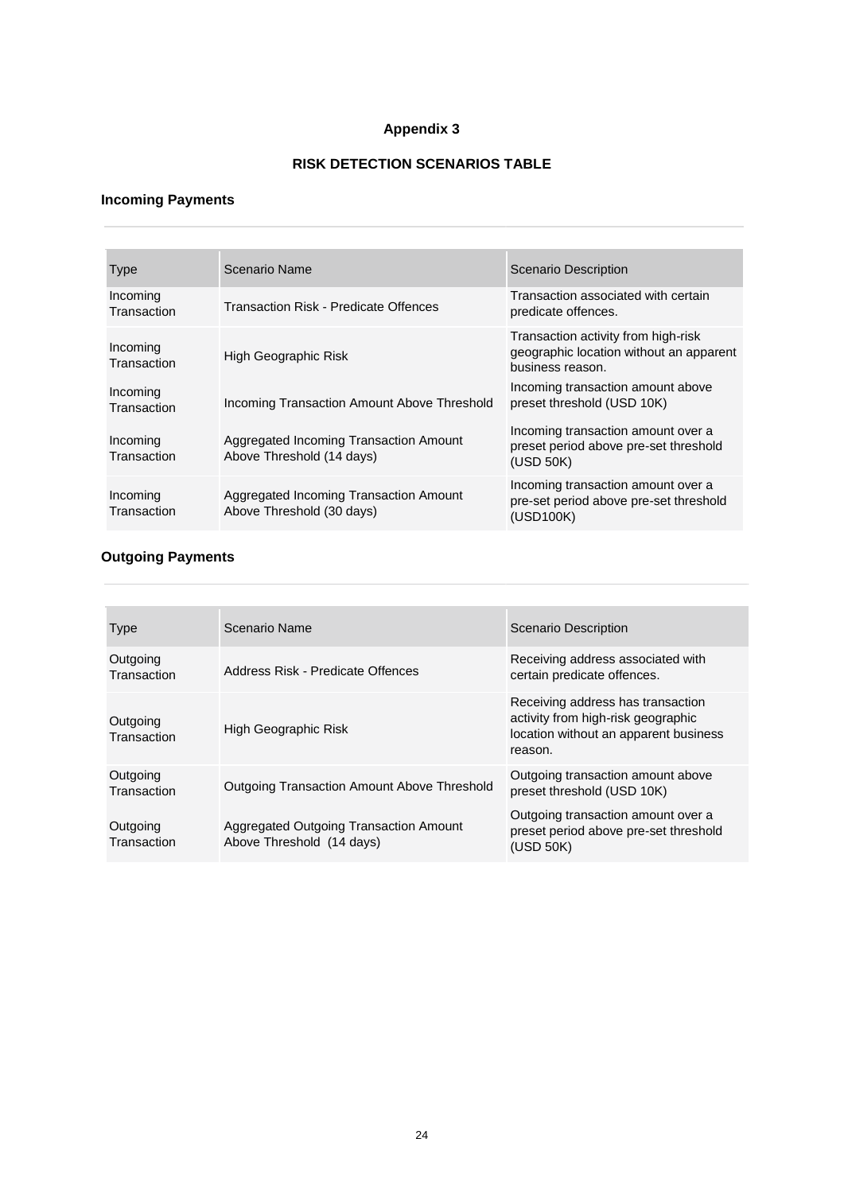# **RISK DETECTION SCENARIOS TABLE**

#### **Incoming Payments**

| <b>Type</b>             | Scenario Name                                                       | <b>Scenario Description</b>                                                                        |
|-------------------------|---------------------------------------------------------------------|----------------------------------------------------------------------------------------------------|
| Incoming<br>Transaction | Transaction Risk - Predicate Offences                               | Transaction associated with certain<br>predicate offences.                                         |
| Incoming<br>Transaction | High Geographic Risk                                                | Transaction activity from high-risk<br>geographic location without an apparent<br>business reason. |
| Incoming<br>Transaction | Incoming Transaction Amount Above Threshold                         | Incoming transaction amount above<br>preset threshold (USD 10K)                                    |
| Incoming<br>Transaction | Aggregated Incoming Transaction Amount<br>Above Threshold (14 days) | Incoming transaction amount over a<br>preset period above pre-set threshold<br>(USD 50K)           |
| Incoming<br>Transaction | Aggregated Incoming Transaction Amount<br>Above Threshold (30 days) | Incoming transaction amount over a<br>pre-set period above pre-set threshold<br>(USD100K)          |

#### **Outgoing Payments**

| <b>Type</b>             | Scenario Name                                                       | <b>Scenario Description</b>                                                                                                 |
|-------------------------|---------------------------------------------------------------------|-----------------------------------------------------------------------------------------------------------------------------|
| Outgoing<br>Transaction | Address Risk - Predicate Offences                                   | Receiving address associated with<br>certain predicate offences.                                                            |
| Outgoing<br>Transaction | High Geographic Risk                                                | Receiving address has transaction<br>activity from high-risk geographic<br>location without an apparent business<br>reason. |
| Outgoing<br>Transaction | <b>Outgoing Transaction Amount Above Threshold</b>                  | Outgoing transaction amount above<br>preset threshold (USD 10K)                                                             |
| Outgoing<br>Transaction | Aggregated Outgoing Transaction Amount<br>Above Threshold (14 days) | Outgoing transaction amount over a<br>preset period above pre-set threshold<br>(USD 50K)                                    |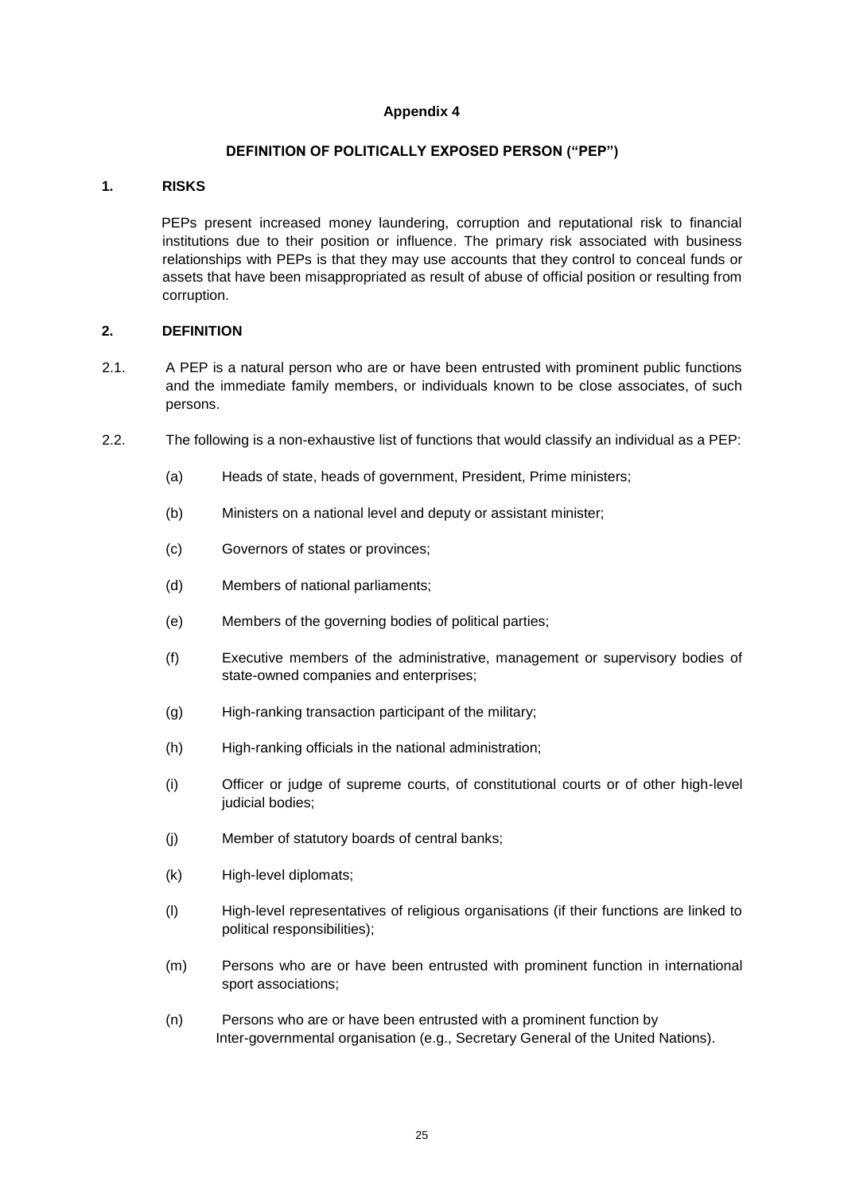#### **DEFINITION OF POLITICALLY EXPOSED PERSON ("PEP")**

#### **1. RISKS**

PEPs present increased money laundering, corruption and reputational risk to financial institutions due to their position or influence. The primary risk associated with business relationships with PEPs is that they may use accounts that they control to conceal funds or assets that have been misappropriated as result of abuse of official position or resulting from corruption.

#### **2. DEFINITION**

- 2.1. A PEP is a natural person who are or have been entrusted with prominent public functions and the immediate family members, or individuals known to be close associates, of such persons.
- 2.2. The following is a non-exhaustive list of functions that would classify an individual as a PEP:
	- (a) Heads of state, heads of government, President, Prime ministers;
	- (b) Ministers on a national level and deputy or assistant minister;
	- (c) Governors of states or provinces;
	- (d) Members of national parliaments;
	- (e) Members of the governing bodies of political parties;
	- (f) Executive members of the administrative, management or supervisory bodies of state-owned companies and enterprises;
	- (g) High-ranking transaction participant of the military;
	- (h) High-ranking officials in the national administration;
	- (i) Officer or judge of supreme courts, of constitutional courts or of other high-level judicial bodies;
	- (j) Member of statutory boards of central banks;
	- (k) High-level diplomats;
	- (l) High-level representatives of religious organisations (if their functions are linked to political responsibilities);
	- (m) Persons who are or have been entrusted with prominent function in international sport associations;
	- (n) Persons who are or have been entrusted with a prominent function by Inter-governmental organisation (e.g., Secretary General of the United Nations).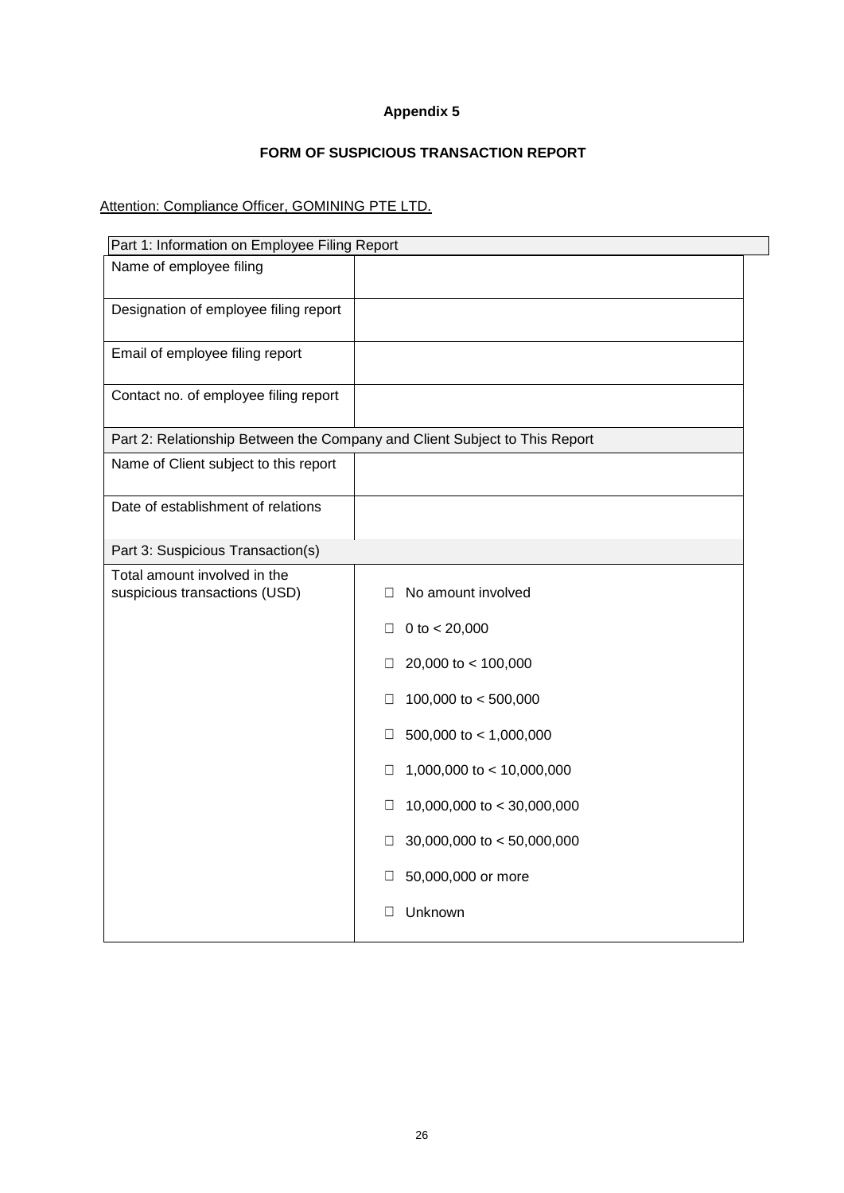# **FORM OF SUSPICIOUS TRANSACTION REPORT**

# Attention: Compliance Officer, GOMINING PTE LTD.

| Part 1: Information on Employee Filing Report                              |                                 |
|----------------------------------------------------------------------------|---------------------------------|
| Name of employee filing                                                    |                                 |
| Designation of employee filing report                                      |                                 |
| Email of employee filing report                                            |                                 |
| Contact no. of employee filing report                                      |                                 |
| Part 2: Relationship Between the Company and Client Subject to This Report |                                 |
| Name of Client subject to this report                                      |                                 |
| Date of establishment of relations                                         |                                 |
| Part 3: Suspicious Transaction(s)                                          |                                 |
| Total amount involved in the<br>suspicious transactions (USD)              | No amount involved<br>ш         |
|                                                                            | 0 to $< 20,000$<br>⊔            |
|                                                                            | 20,000 to < 100,000<br>□        |
|                                                                            | 100,000 to $<$ 500,000<br>□     |
|                                                                            | 500,000 to $<$ 1,000,000<br>□   |
|                                                                            | 1,000,000 to < 10,000,000<br>□  |
|                                                                            | 10,000,000 to < 30,000,000<br>□ |
|                                                                            | 30,000,000 to < 50,000,000<br>⊔ |
|                                                                            | 50,000,000 or more<br>⊔         |
|                                                                            | Unknown                         |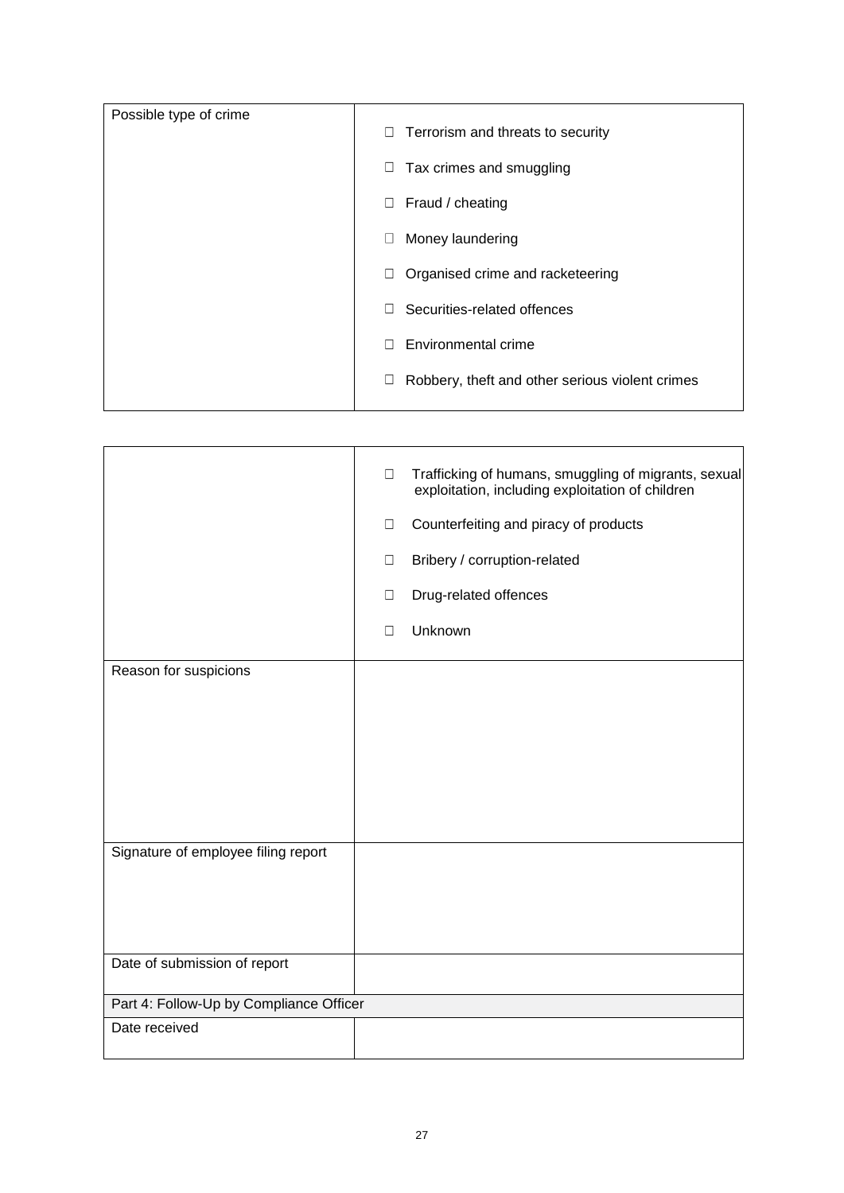| Possible type of crime | 0<br>Terrorism and threats to security                    |
|------------------------|-----------------------------------------------------------|
|                        | $\Box$<br>Tax crimes and smuggling                        |
|                        | Fraud / cheating<br>U                                     |
|                        | Money laundering<br>$\Box$                                |
|                        | Organised crime and racketeering                          |
|                        | Securities-related offences<br>п                          |
|                        | Environmental crime                                       |
|                        | Robbery, theft and other serious violent crimes<br>$\Box$ |
|                        |                                                           |

|                                         | $\Box$ | Trafficking of humans, smuggling of migrants, sexual<br>exploitation, including exploitation of children |
|-----------------------------------------|--------|----------------------------------------------------------------------------------------------------------|
|                                         | $\Box$ | Counterfeiting and piracy of products                                                                    |
|                                         | $\Box$ | Bribery / corruption-related                                                                             |
|                                         | $\Box$ | Drug-related offences                                                                                    |
|                                         | $\Box$ | Unknown                                                                                                  |
| Reason for suspicions                   |        |                                                                                                          |
|                                         |        |                                                                                                          |
|                                         |        |                                                                                                          |
|                                         |        |                                                                                                          |
|                                         |        |                                                                                                          |
|                                         |        |                                                                                                          |
| Signature of employee filing report     |        |                                                                                                          |
|                                         |        |                                                                                                          |
|                                         |        |                                                                                                          |
|                                         |        |                                                                                                          |
| Date of submission of report            |        |                                                                                                          |
| Part 4: Follow-Up by Compliance Officer |        |                                                                                                          |
| Date received                           |        |                                                                                                          |
|                                         |        |                                                                                                          |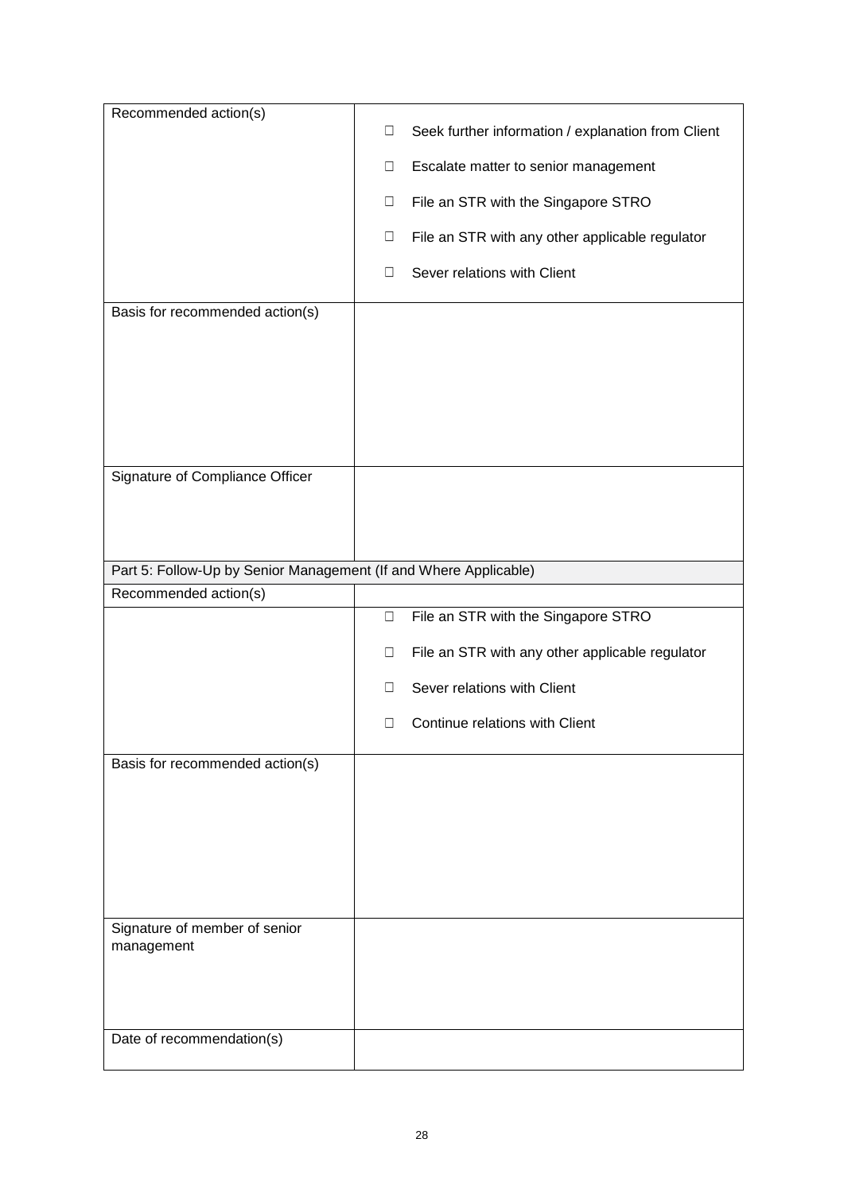| Recommended action(s)                                            |        |                                                    |
|------------------------------------------------------------------|--------|----------------------------------------------------|
|                                                                  | $\Box$ | Seek further information / explanation from Client |
|                                                                  | $\Box$ | Escalate matter to senior management               |
|                                                                  | $\Box$ | File an STR with the Singapore STRO                |
|                                                                  | $\Box$ | File an STR with any other applicable regulator    |
|                                                                  | □      | Sever relations with Client                        |
| Basis for recommended action(s)                                  |        |                                                    |
|                                                                  |        |                                                    |
|                                                                  |        |                                                    |
|                                                                  |        |                                                    |
|                                                                  |        |                                                    |
|                                                                  |        |                                                    |
| Signature of Compliance Officer                                  |        |                                                    |
|                                                                  |        |                                                    |
|                                                                  |        |                                                    |
| Part 5: Follow-Up by Senior Management (If and Where Applicable) |        |                                                    |
| Recommended action(s)                                            |        |                                                    |
|                                                                  | $\Box$ | File an STR with the Singapore STRO                |
|                                                                  | $\Box$ | File an STR with any other applicable regulator    |
|                                                                  |        |                                                    |
|                                                                  | □      | Sever relations with Client                        |
|                                                                  | □      | Continue relations with Client                     |
| Basis for recommended action(s)                                  |        |                                                    |
|                                                                  |        |                                                    |
|                                                                  |        |                                                    |
|                                                                  |        |                                                    |
|                                                                  |        |                                                    |
|                                                                  |        |                                                    |
| Signature of member of senior<br>management                      |        |                                                    |
|                                                                  |        |                                                    |
|                                                                  |        |                                                    |
| Date of recommendation(s)                                        |        |                                                    |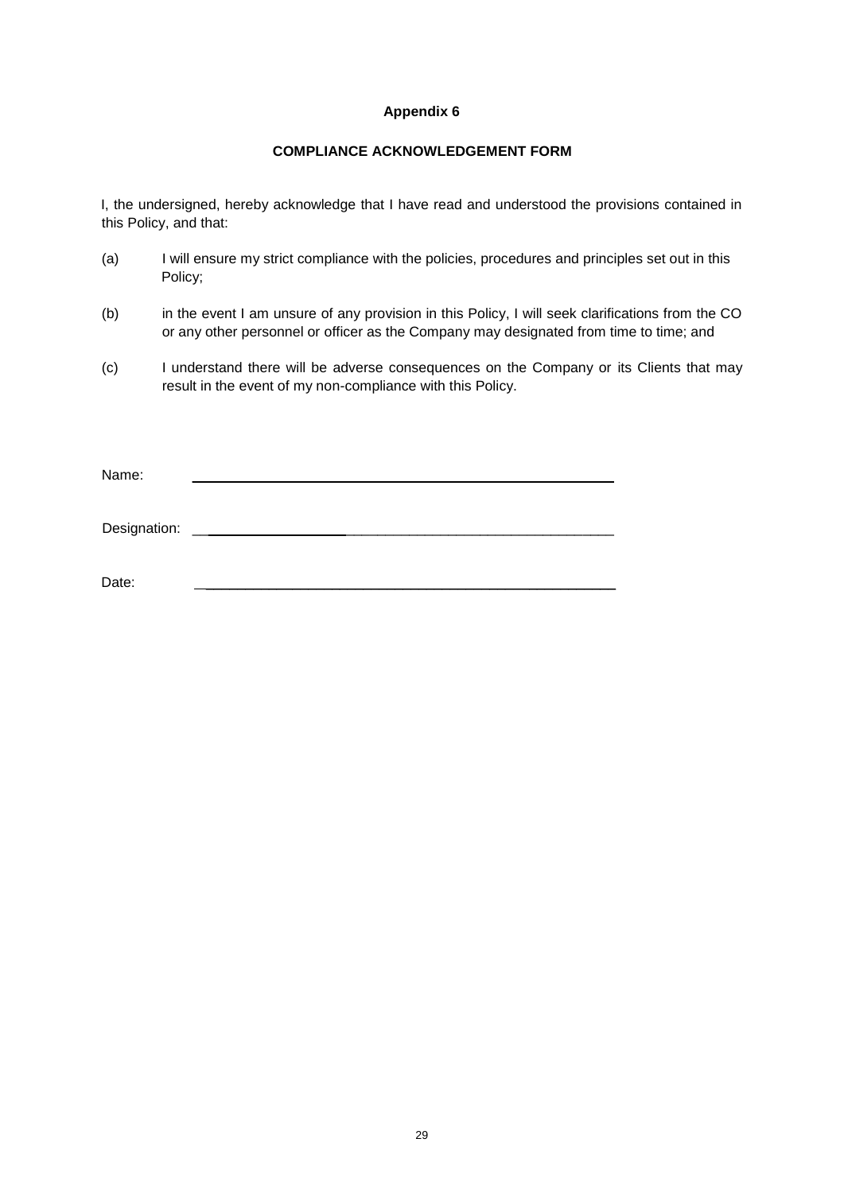## **COMPLIANCE ACKNOWLEDGEMENT FORM**

I, the undersigned, hereby acknowledge that I have read and understood the provisions contained in this Policy, and that:

- (a) I will ensure my strict compliance with the policies, procedures and principles set out in this Policy;
- (b) in the event I am unsure of any provision in this Policy, I will seek clarifications from the CO or any other personnel or officer as the Company may designated from time to time; and
- (c) I understand there will be adverse consequences on the Company or its Clients that may result in the event of my non-compliance with this Policy.

Name: \_\_\_\_\_\_\_\_\_\_\_\_\_\_\_\_\_\_\_ \_\_\_\_\_\_\_\_\_\_\_\_\_\_\_\_\_\_\_\_\_\_\_\_\_\_\_\_\_\_\_\_\_\_ Designation: \_\_\_\_\_\_\_\_\_\_\_\_\_\_\_\_\_\_\_ \_\_\_\_\_\_\_\_\_\_\_\_\_\_\_\_\_\_\_\_\_\_\_\_\_\_\_\_\_\_\_\_\_\_ Date: \_\_\_\_\_\_\_\_\_\_\_\_\_\_\_\_\_\_\_\_\_\_\_\_\_\_\_\_\_\_\_\_\_\_\_\_\_\_\_\_\_\_\_\_\_\_\_\_\_\_\_\_